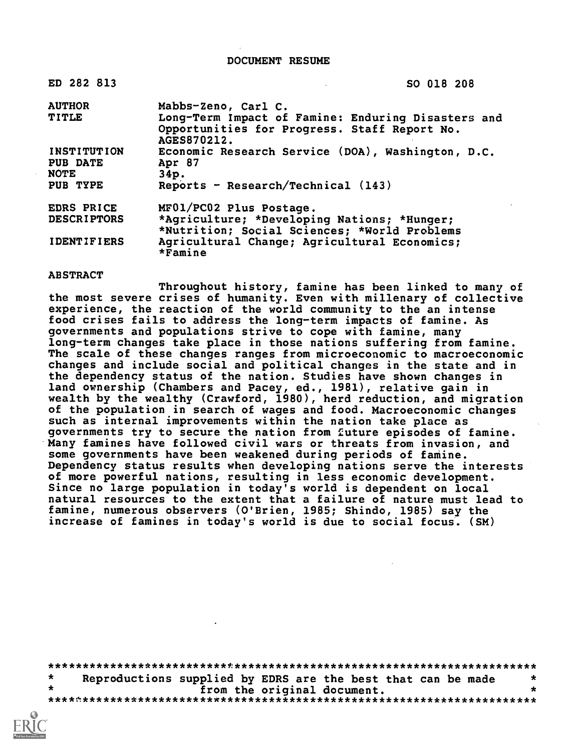DOCUMENT RESUME

| ED 282 813                             | SO 018 208                                                                                                        |
|----------------------------------------|-------------------------------------------------------------------------------------------------------------------|
| <b>AUTHOR</b>                          | Mabbs-Zeno, Carl C.                                                                                               |
| <b>TITLE</b>                           | Long-Term Impact of Famine: Enduring Disasters and<br>Opportunities for Progress. Staff Report No.<br>AGES870212. |
| INSTITUTION<br>PUB DATE<br><b>NOTE</b> | Economic Research Service (DOA), Washington, D.C.<br>Apr 87<br>34p.                                               |
| PUB TYPE                               | Reports - Research/Technical $(143)$                                                                              |
| EDRS PRICE                             | MF01/PC02 Plus Postage.                                                                                           |
| <b>DESCRIPTORS</b>                     | *Agriculture; *Developing Nations; *Hunger;<br>*Nutrition; Social Sciences; *World Problems                       |
| <b>IDENTIFIERS</b>                     | Agricultural Change; Agricultural Economics;<br>$*$ Famine                                                        |

#### ABSTRACT

Throughout history, famine has been linked to many of the most severe crises of humanity. Even with millenary of collective experience, the reaction of the world community to the an intense food crises fails to address the long-term impacts of famine. As governments and populations strive to cope with famine, many long-term changes take place in those nations suffering from famine. The scale of these changes ranges from microeconomic to macroeconomic changes and include social and political changes in the state and in the dependency status of the nation. Studies have shown changes in land ownership (Chambers and Pacey, ed., 1981), relative gain in wealth by the wealthy (Crawford, 1980), herd reduction, and migration of the population in search of wages and food. Macroeconomic changes such as internal improvements within the nation take place as governments try to secure the nation from 2uture episodes of famine. Many famines have followed civil wars or threats from invasion, and some governments have been weakened during periods of famine. Dependency status results when developing nations serve the interests of more powerful nations, resulting in less economic development. Since no large population in today's world is dependent on local natural resources to the extent that a failure of nature must lead to famine, numerous observers (O'Brien, 1985; Shindo, 1985) say the increase of famines in today's world is due to social focus. (SM)

| $\star$ |                             | Reproductions supplied by EDRS are the best that can be made | * |
|---------|-----------------------------|--------------------------------------------------------------|---|
|         | from the original document. |                                                              |   |
|         |                             |                                                              |   |

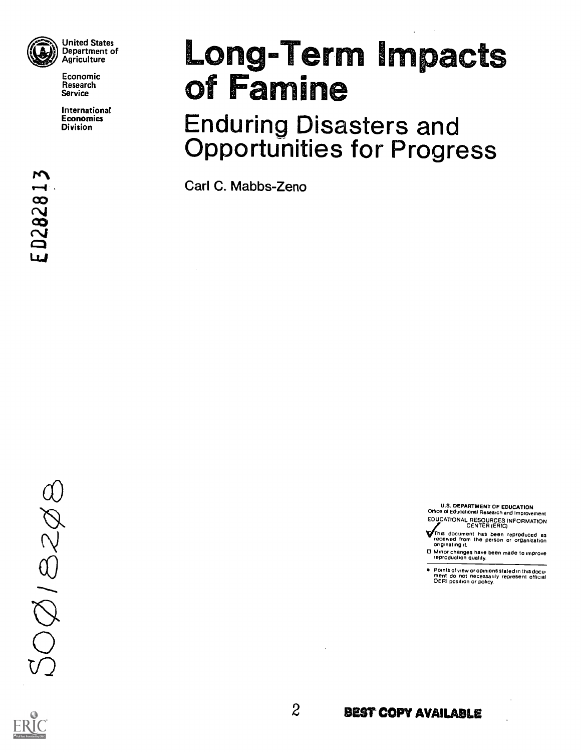

Economic Research Service

International **Economics** Division

# Long-Term Impacts<br>of Famine

Enduring Disasters and Opportunities for Progress

Carl C. Mabbs-Zeno

 $OQ/BCO$ 

U.S. DEPARTMENT OF EDUCATION Office of Educational Research and Improvement EDUCATIONAL RESOURCES INFORMATION

- CENTER (ERIC)<br>This document has been reproduced as<br>originating it.<br>originating it.
- Minor changes have been made to improve reproduction quality.
- Points of view or opinions stated in this docu- ment do not necessarily represent official OERI position or policy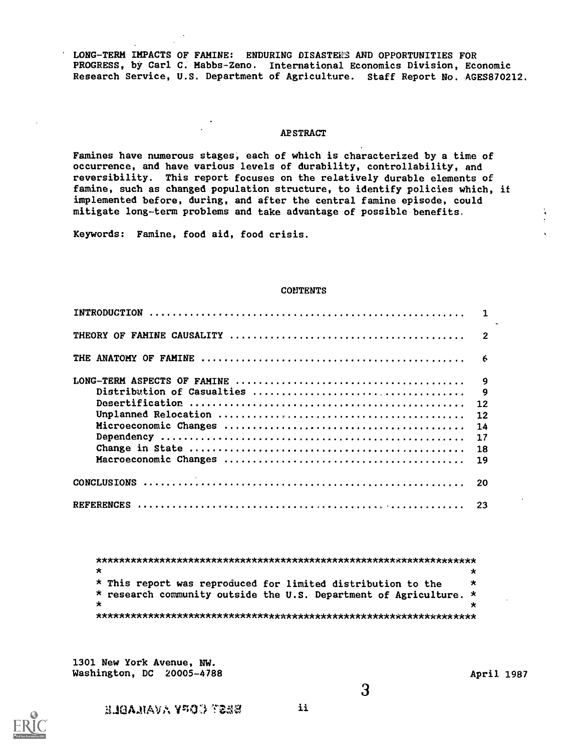LONG-TERM IMPACTS OF FAMINE: ENDURING DISASTERS AND OPPORTUNITIES FOR PROGRESS, by Carl C. Habbs-Zeno. International Economics Division, Economic Research Service, U.S. Department of Agriculture. Staff Report No. AGES870212.

#### **ABSTRACT**

Famines have numerous stages, each of which is characterized by a time of occurrence, and have various levels of durability, controllability, and reversibility. This report focuses on the relatively durable elements of famine, such as changed population structure, to identify policies which, if implemented before, during, and after the central famine episode, could mitigate long-term problems and take advantage of possible benefits,

Keywords: Famine, food aid, food crisis.

#### CONTENTS

| -20 |
|-----|
|     |

\*\*\*\*\*\*\*\*\*\*\*\*\*\*\*\*\*\*\*\*\*\*\*\*\*\*\*\*\*\*\*\*\*\*\*\*\*\*\*\*\*\*\*\*\*\*\*\*\*\*\*\*\*\*\*\*\*\*\*\*\*\*\*\*\*\*  $\star$  $\star$ \* This report was reproduced for limited distribution to the \* research community outside the U.S. Department of Agriculture. \*  $\star$  $\star$ \*\*\*\*\*\*\*\*\*\*\*\*\*\*\*\*\*\*\*\*\*\*\*\*\*\*\*\*\*\*\*\*\*\*\*\*\*\*\*\*\*\*\*\*\*\*\*\*\*\*\*\*\*\*\*\*\*\*\*\*\*\*\*\*\*\*

1301 New York Avenue, NW. Washington, DC 20005-4788 <br>
April 1987



f3 A.11A V V401 TZ!",i ii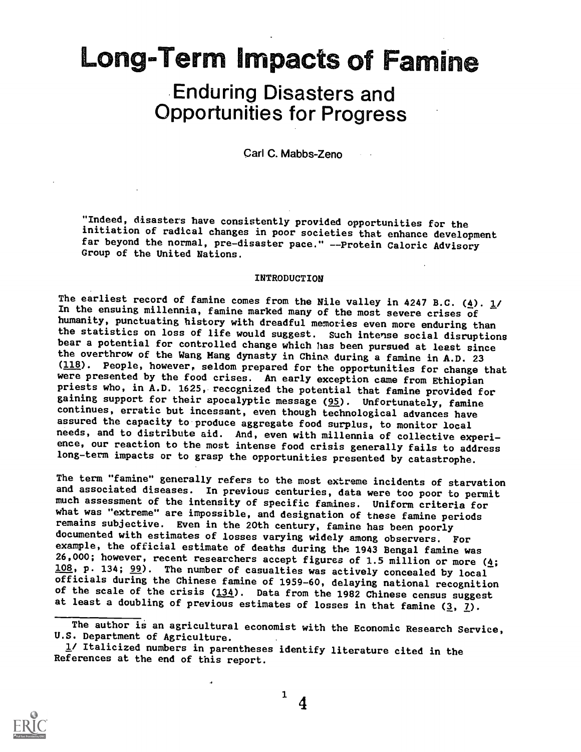### Long=Term Impacts of Famine

## Enduring Disasters and Opportunities for Progress

Carl C. Mabbs-Zeno

"Indeed, disasters have consistently provided opportunities for the initiation of radical changes in poor societies that enhance development far beyond the normal, pre-disaster pace." --Protein Caloric Advisory Group of the United Nations.

#### INTRODUCTION

The earliest record of famine comes from the Nile valley in 4247 B.C. (4).  $\frac{1}{l}$ In the ensuing millennia, famine marked many of the most severe crises of humanity, punctuating history with dreadful memories even more enduring than the statistics on loss of life would suggest. Such intense social disruptions bear a potential for controlled change which has been pursued at least since the overthrow of the Wang Hang dynasty in China during a famine in A.D. 23 (118). People, however, seldom prepared for the opportunities for change that were presented by the food crises. An early exception came from Ethiopian priests who, in A.D. 1625, recognized the potential that famine provided for gaining support for their apocalyptic message (95). Unfortunately, famine continues, erratic but incessant, even though technological advances have assured the capacity to produce aggregate food surplus, to monitor local needs, and to distribute aid. And, even with millennia of collective experience, our reaction to the most intense food crisis generally fails to address long-term impacts or to grasp the opportunities presented by catastrophe.

The term "famine" generally refers to the most extreme incidents of starvation and associated diseases. In previous centuries, data were too poor to permit much assessment of the intensity of specific famines. Uniform criteria for what was "extreme" are impossible, and designation of these famine periods remains subjective. Even in the 20th century, famine has been poorly documented with estimates of losses varying widely among observers. For<br>example, the official estimate of deaths during the 1943 Bengal famine was 26,000; however, recent researchers accept figures of 1.5 million or more ( $\underline{4}$ ; 108, p. 134; 99). The number of casualties was actively concealed by local officials during the Chinese famine of 1959-60, delaying national recognition of the scale of the crisis  $(134)$ . Data from the 1982 Chinese census suggest at least a doubling of previous estimates of losses in that famine  $(3, 2)$ .



The author is an agricultural economist with the Economic Research Service, U.S. Department of Agriculture.

<sup>1/</sup> Italicized numbers in parentheses identify literature cited in the References at the end of this report.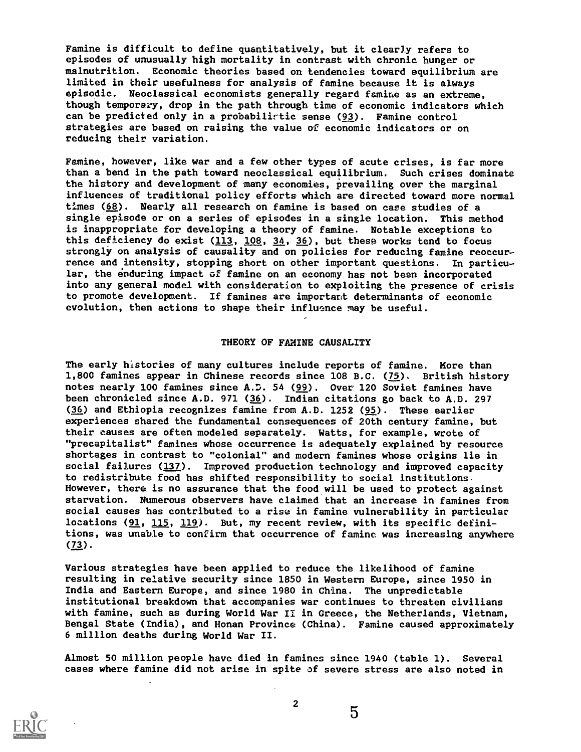Famine is difficult to define quantitatively, but it clearly refers to episodes of unusually high mortality in contrast with chronic hunger or malnutrition. Economic theories based on tendencies toward equilibrium are limited in their usefulness for analysis of famine because it is always episodic. Neoclassical economists generally regard famine as an extreme, though temporary, drop in the path through time of economic indicators which can be predicted only in a probabilirtic sense (93). Famine control strategies are based on raising the value of economic indicators or on reducing their variation.

Famine, however, like war and a few other types of acute crises, is far more than a bend in the path toward neoclassical equilibrium. Such crises dominate the history and development of many economies, prevailing over the marginal influences of traditional policy efforts which are directed toward more normal times (68). Nearly all research on famine is based on case studies of a single episode or on a series of episodes in a single location. This method is inappropriate for developing a theory of famine. Notable exceptions to this deficiency do exist  $(113, 108, 34, 36)$ , but these works tend to focus strongly on analysis of causality and on policies for reducing famine reoccurrence and intensity, stopping short on other important questions. In particular, the enduring impact of famine on an economy has not bean incorporated into any general model with consideration to exploiting the presence of crisis to promote development. If famines are important determinants of economic evolution, then actions to shape their influence may be useful.

#### THEORY OF FAMINE CAUSALITY

The early histories of many cultures include reports of famine. More than 1,800 famines appear in Chinese records since 108 B.C. (75). British history notes nearly 100 famines since A.D. 54 (99). Over 120 Soviet famines have been chronicled since A.D. 971 (36). Indian citations go back to A.D. 297 (36) and Ethiopia recognizes famine from A.D. 1252 (95). These earlier experiences shared the fundamental consequences of 20th century famine, but their causes are often modeled separately. Watts, for example, wrote of "precapitalist" famines whose occurrence is adequately explained by resource shortages in contrast to "colonial" and modern famines whose origins lie in social failures (137). Improved production technology and improved capacity to redistribute food has shifted responsibility to social institutions. However, there is no assurance that the food will be used to protect against starvation. Numerous observers have claimed that an increase in famines from social causes has contributed to a rise in famine vulnerability in particular locations (91, 115, 119). But, my recent review, with its specific definitions, was unable to confirm that occurrence of famine was increasing anywhere (73).

Various strategies have been applied to reduce the likelihood of famine resulting in relative security since 1850 in Western Europe, since 1950 in India and Eastern Europe, and since 1980 in China. The unpredictable institutional breakdown that accompanies war continues to threaten civilians with famine, such as during World War II in Greece, the Netherlands, Vietnam, Bengal State (India), and Honan Province (China). Famine caused approximately 6 million deaths during World War II.

Almost 50 million people have died in famines since 1940 (table 1). Several cases where famine did not arise in spite of severe stress are also noted in



2

 $\overline{5}$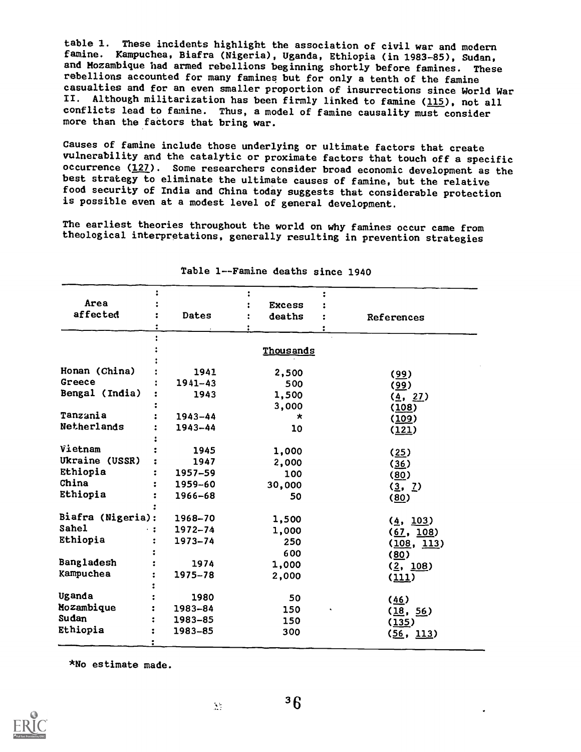table 1. These incidents highlight the association of civil war and modern famine. Kampuchea, Biafra (Nigeria), Uganda, Ethiopia (in 1983-85), Sudan, and Mozambique had armed rebellions beginning shortly before famines. These rebellions accounted for many famines but for only a tenth of the famine casualties and for an even smaller proportion of insurrections since World War<br>II. Although militarization has been firmly linked to famine (115), not all Although militarization has been firmly linked to famine (115), not all conflicts lead to famine. Thus, a model of famine causality must consider more than the factors that bring war.

Causes of famine include those underlying or ultimate factors that create vulnerability and the catalytic or proximate factors that touch off a specific occurrence (127). Some researchers consider broad economic development as the best strategy to eliminate the ultimate causes of famine, but the relative food security of India and China today suggests that considerable protection is possible even at a modest level of general development.

The earliest theories throughout the world on why famines occur came from theological interpretations, generally resulting in prevention strategies

| Area              |             | <b>Excess</b> |            |                    |
|-------------------|-------------|---------------|------------|--------------------|
| affected          | Dates       | deaths        | References |                    |
|                   |             |               |            |                    |
|                   |             |               |            |                    |
|                   |             | Thousands     |            |                    |
|                   |             |               |            |                    |
| Honan (China)     | 1941        | 2,500         | (99)       |                    |
| Greece            | $1941 - 43$ | 500           | (99)       |                    |
| Bengal (India)    | 1943        | 1,500         |            | (4, 27)            |
|                   |             | 3,000         | (108)      |                    |
| Tanzania          | $1943 - 44$ | $\star$       | (109)      |                    |
| Netherlands       | 1943-44     | 10            | (121)      |                    |
|                   |             |               |            |                    |
| Vietnam           | 1945        | 1,000         | (25)       |                    |
| Ukraine (USSR)    | 1947        | 2,000         | (36)       |                    |
| Ethiopia          | 1957-59     | 100           | (80)       |                    |
| China             | 1959-60     | 30,000        | (3, 2)     |                    |
| Ethiopia          | 1966-68     | 50            | (80)       |                    |
|                   |             |               |            |                    |
| Biafra (Nigeria): | 1968-70     | 1,500         |            | (4, 103)           |
| Sahel             | $1972 - 74$ | 1,000         |            | (67, 108)          |
| Ethiopia          | $1973 - 74$ | 250           |            | (108, 113)         |
|                   |             | 600           | (80)       |                    |
| Bangladesh        | 1974        | 1,000         |            |                    |
| Kampuchea         | 1975-78     | 2,000         |            | (2, 108)           |
|                   |             |               | (111)      |                    |
| Uganda            | 1980        | 50            |            |                    |
| Mozambique        | 1983-84     | 150           | (46)       |                    |
| Sudan             | 1983-85     | 150           |            | (18, 56)           |
| Ethiopia          | 1983-85     | 300           | (135)      |                    |
|                   |             |               |            | ( <u>56, 113</u> ) |
|                   |             |               |            |                    |

Table 1--Famine deaths since 1940

\*No estimate made.



 $\sum_{i=1}^{N}$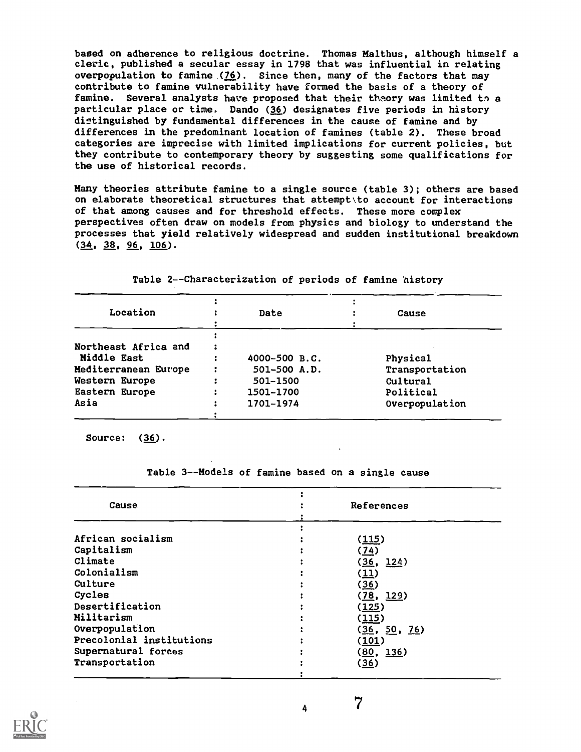based on adherence to religious doctrine. Thomas Malthus, although himself a cleric, published a secular essay in 1798 that was influential in relating overpopulation to famine  $(76)$ . Since then, many of the factors that may contribute to famine vulnerability have formed the basis of a theory of famine. Several analysts have proposed that their theory was limited to a particular place or time, Dando (36) designates five periods in history distinguished by fundamental differences in the cause of famine and by differences in the predominant location of famines (table 2). These broad categories are imprecise with limited implications for current policies, but they contribute to contemporary theory by suggesting some qualifications for the use of historical records.

Many theories attribute famine to a single source (table 3); others are based on elaborate theoretical structures that attempt\to account for interactions of that among causes and for threshold effects. These more complex perspectives often draw on models from physics and biology to understand the processes that yield relatively widespread and sudden institutional breakdown  $(34, 38, 96, 106)$ .

| Location             | Date          | Cause          |
|----------------------|---------------|----------------|
|                      |               |                |
| Northeast Africa and |               |                |
| Middle East          | 4000-500 B.C. | Physical       |
| Mediterranean Europe | 501-500 A.D.  | Transportation |
| Western Europe       | 501-1500      | Cultural       |
| Eastern Europe       | 1501-1700     | Political      |
| Asia                 | 1701-1974     | Overpopulation |
|                      |               |                |

Table 2--Characterization of periods of famine history

Source: (36).

Table 3--Models of famine based on a single cause

| Cause                    | References   |  |
|--------------------------|--------------|--|
|                          |              |  |
| African socialism        | (115)        |  |
| Capitalism               | (74)         |  |
| Climate                  | (36, 124)    |  |
| Colonialism              | (11)         |  |
| Culture                  | (36)         |  |
| Cycles                   | (78, 129)    |  |
| Desertification          | (125)        |  |
| Militarism               | (115)        |  |
| Overpopulation           | (36, 50, 76) |  |
| Precolonial institutions | (101)        |  |
| Supernatural forces      | (80, 136)    |  |
| Transportation           | (36)         |  |
|                          |              |  |

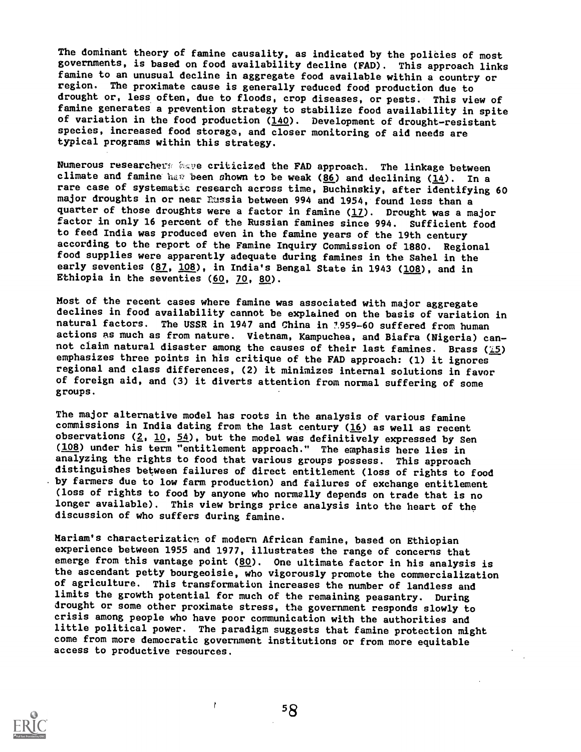The dominant theory of famine causality, as indicated by the policies of most governments, is based on food availability decline (FAD). This approach links famine to an unusual decline in aggregate food available within a country or region. The proximate cause is generally reduced food production due to drought or, less often, due to floods, crop diseases, or pests. This view of famine generates a prevention strategy to stabilize food availability in spite of variation in the food production (140). Development of drought-resistant species, increased food storage, and closer monitoring of aid needs are typical programs within this strategy.

Numerous researchers kave criticized the FAD approach. The linkage between climate and famine has been shown to be weak (86) and declining ( $\underline{14}$ ). In a rare case of systematic research across time, Buchinskiy, after identifying 60 major droughts in or near Russia between 994 and 1954, found less than a quarter of those droughts were a factor in famine  $(17)$ . Drought was a major factor in only 16 percent of the Russian famines since 994. Sufficient food to feed India was produced even in the famine years of the 19th century according to the report of the Famine Inquiry Commission of 1880. Regional food supplies were apparently adequate during famines in the Sahel in the early seventies  $(87, 108)$ , in India's Bengal State in 1943 (108), and in Ethiopia in the seventies  $(60, 70, 80)$ .

Most of the recent cases where famine was associated with major aggregate declines in food availability cannot be explained on the basis of variation in natural factors. The USSR in 1947 and China in 7.959-60 suffered from human actions as much as from nature. Vietnam, Kampuchea, and Biafra (Nigeria) cannot claim natural disaster among the causes of their last famines. Brass ( $\tilde{1}5$ ) emphasizes three points in his critique of the FAD approach: (1) it ignores regional and class differences, (2) it minimizes internal solutions in favor of foreign aid, and (3) it diverts attention from normal suffering of some groups.

The major alternative model has roots in the analysis of various famine commissions in India dating from the last century  $(16)$  as well as recent observations ( $2$ ,  $10$ ,  $54$ ), but the model was definitively expressed by Sen (108) under his term "entitlement approach." The emphasis here lies in analyzing the rights to food that various groups possess. This approach distinguishes between failures of direct entitlement (loss of rights to food . by farmers due to low farm production) and failures of exchange entitlement (loss of rights to food by anyone who normally depends on trade that is no longer available). This view brings price analysis into the heart of the discussion of who suffers during famine.

Mariam's characterization of modern African famine, based on Ethiopian experience between 1955 and 1977, illustrates the range of concerns that emerge from this vantage point  $(80)$ . One ultimate factor in his analysis is the ascendant petty bourgeoisie, who vigorously promote the commercialization of agriculture. This transformation increases the number of landless and limits the growth potential for much of the remaining peasantry. During drought or some other proximate stress, the government responds slowly to crisis among people who have poor communication with the authorities and little political power. The paradigm suggests that famine protection might come from more democratic government institutions or from more equitable access to productive resources.



 $58$ 

 $\ddot{\phantom{a}}$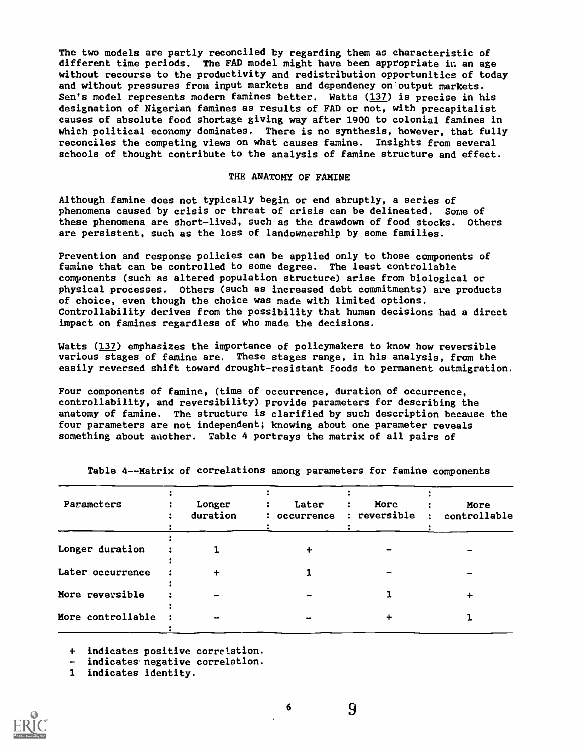The two models are partly reconciled by regarding them as characteristic of different time periods. The FAD model might have been appropriate in an age without recourse to the productivity and redistribution opportunities of today and without pressures from input markets and dependency on output markets. Sen's model represents modern famines better. Watts (137) is precise in his designation of Nigerian famines as results of FAD or not, with precapitalist causes of absolute food shortage giving way after 1900 to colonial famines in which political economy dominates. There is no synthesis, however, that fully reconciles the competing views on what causes famine. Insights from several schools of thought contribute to the analysis of famine structure and effect.

#### THE ANATOMY OF FAMINE

Although famine does not typically begin or end abruptly, a series of phenomena caused by crisis or threat of crisis can be delineated. Some of these phenomena are short-lived, such as the drawdown of food stocks. Others are persistent, such as the loss of landownership by some families.

Prevention and response policies can be applied only to those components of famine that can be controlled to some degree. The least controllable components (such as altered population structure) arise from biological or physical processes. Others (such as increased debt commitments) are products of choice, even though the choice was made with limited options. Controllability derives from the possibility that human decisions had a direct impact on famines regardless of who made the decisions.

Watts (137) emphasizes the importance of policymakers to know how reversible various stages of famine are. These stages range, in his analysis, from the easily reversed shift toward drought-resistant foods to permanent outmigration.

Four components of famine, (time of occurrence, duration of occurrence, controllability, and reversibility) Provide parameters for describing the anatomy of famine. The structure is clarified by such description because the four parameters are not independent; knowing about one parameter reveals something about another. Table 4 portrays the matrix of all pairs of

| Parameters        | Longer<br>duration | Later<br>$\ddot{\cdot}$ | More<br>: occurrence : reversible : | More<br>controllable |
|-------------------|--------------------|-------------------------|-------------------------------------|----------------------|
| Longer duration   |                    |                         |                                     |                      |
| Later occurrence  | $\div$             |                         |                                     |                      |
| More reversible   | -                  |                         |                                     |                      |
| More controllable |                    |                         |                                     |                      |
|                   |                    |                         |                                     |                      |

Table 4--Matrix of correlations among parameters for famine components

+ indicates positive correlation.

- indicates negative correlation.

1 indicates identity.

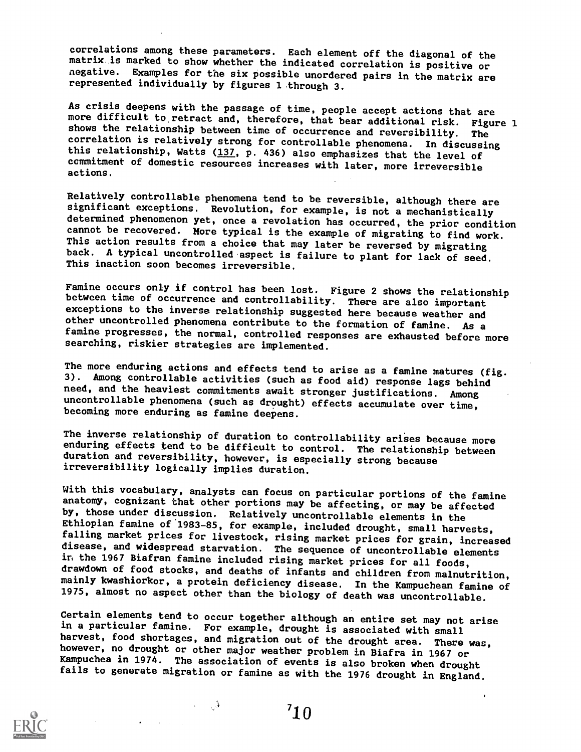correlations among these parameters. Each element off the diagonal of the matrix is marked to show whether the indicated correlation is positive or negative. Examples for the six possible unordered pairs in the matrix are represented individually by figures 1 through 3.

As crisis deepens with the passage of time, people accept actions that are<br>more difficult to retract and, therefore, that bear additional risk. Figure 1<br>shows the relationship between time of occurrence and reversibility. this relationship, Watts  $(137, p. 436)$  also emphasizes that the level of commitment of domestic resources increases with later, more irreversible actions.

Relatively controllable phenomena tend to be reversible, although there are significant exceptions. Revolution, for example, is not a mechanistically determined phenomenon yet, once a revolation has occurred, the prior condition cannot be recovered. More typical is the example of migrating to find work. This action results from a choice that may later be reversed by migrating back. A typical uncontrolled aspect is failure to plant for lack of seed. This inaction soon becomes irreversible.

Famine occurs only if control has been lost. Figure 2 shows the relationship between time of occurrence and controllability. There are also important exceptions to the inverse relationship suggested here because weather and other uncontrolled phenomena contribute to the formation of famine. As a famine progresses, the normal, controlled responses are exhausted before more searching, riskier strategies are implemented.

The more enduring actions and effects tend to arise as a famine matures (fig. 3). Among controllable activities (such as food aid) response lags behind need, and the heaviest commitments await stronger justifications. Among uncontrollable phenomena (such as drought) effects accumulate over time, becoming more enduring as famine deepens.

The inverse relationship of duration to controllability arises because more enduring effects tend to be difficult to control. The relationship between duration and reversibility, however, is especially strong because irreversibility logically implies duration.

With this vocabulary, analysts can focus on particular portions of the famine anatomy, cognizant that other portions may be affecting, or may be affected by, those under discussion. Relatively uncontrollable elements in the falling market prices for livestock, rising market prices for grain, increased disease, and widespread starvation. The sequence of uncontrollable elements in the 1967 Biafran famine included rising market prices for all fo drawdown of food stocks, and deaths of infants and children from malnutrition,<br>mainly kwashiorkor, a protein deficiency disease. In the Kampuchean famine of 1975, almost no aspect other than the biology of death was uncontrollable.

Certain elements tend to occur together although an entire set may not arise in a particular famine. For example, drought is associated with small harvest, food shortages, and migration out of the drought area. There was, however, no drought or other major weather problem in Biafra in 1967 or<br>Kampuchea in 1974. The association of events is also broken when drought<br>fails to generate migration or famine as with the 1976 drought in England.

 $\sim 1$ 

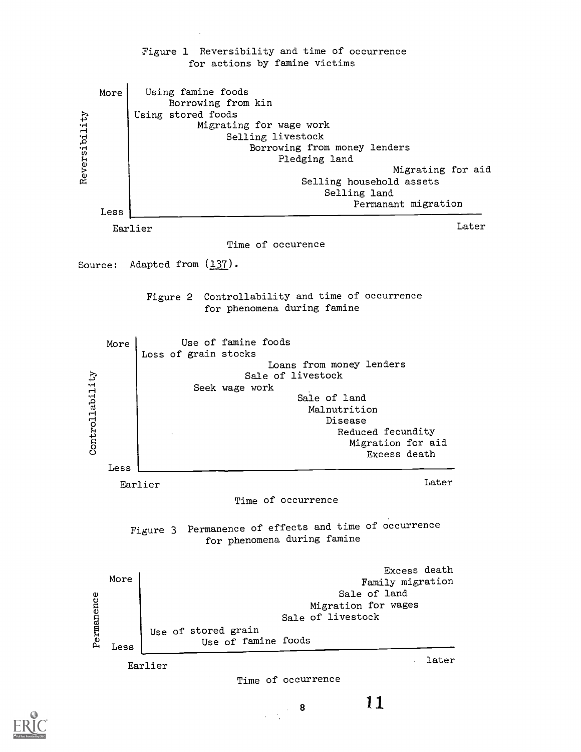

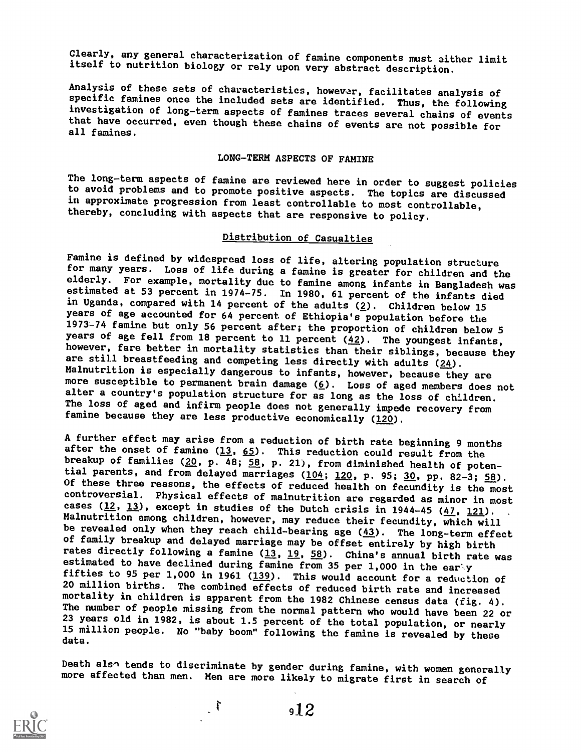Clearly, any general characterization of famine components must either limit itself to nutrition biology or rely upon very abstract description.

Analysis of these sets of characteristics, however, facilitates analysis of specific famines once the included sets are identified. Thus, the following investigation of long-term aspects of famines traces several chains of events that have occurred, even though these chains of events are not possible for all famines.

#### LONG-TERM ASPECTS OF FAMINE

The long-term aspects of famine are reviewed here in order to suggest policies to avoid problems and to promote positive aspects. The topics are discussed in approximate progression from least controllable to most controllable, thereby, concluding with aspects that are responsive to policy.

#### Distribution of Casualties

Famine is defined by widespread loss of life, altering population structure for many years. Loss of life during a famine is greater for children and the elderly. For example, mortality due to famine among infants in Bangladesh was estimated at 53 percent in 1974-75. In 1980, 61 percent of the infants died in Uganda, compared with 14 percent of the adults  $(2)$ . Children below 15 years of age accounted for 64 percent of Ethiopia's population before the 1973-74 famine but only 56 percent after; the proportion of children below 5 years of age fell from 18 percent to 11 percent  $(42)$ . The youngest infants, however, fare better in mortality statistics than their siblings, because they are still breastfeeding and competing less directly with adults (24).<br>Malnutrition is especially dangerous to infants, however, because they are more susceptible to permanent brain damage (6). Loss of aged members does not alter a country's population structure for as long as the loss of children. The loss of aged and infirm people does not generally impede recovery from famine because they are less productive economically (120).

A further effect may arise from a reduction of birth rate beginning 9 months after the onset of famine  $(13, 65)$ . This reduction could result from the breakup of families (20, p. 48; 58, p. 21), from diminished health of potential parents, and from delayed marriages (104; 120, p. 95; 30, pp. 82-3; 58). Of these three reasons, the effects of reduced health on fecundity is the most controversial. Physical effects of malnutrition are regarded as minor in most cases (12, 13), except in studies of the Dutch crisis in 1944-45 ( $\frac{47}{121}$ , 121). Malnutrition among children, however, may reduce their fecundity, which will be revealed only when they reach child-bearing age  $(43)$ . The long-term effect of family breakup and delayed marriage may be offset entirely by high birth rate was<br>rates directly following a famine (13, 19, 58). China's annual birth rate was estimated to have declined during famine from 35 per 1,000 in the ear y<br>fifties to 95 per 1,000 in 1961 (139). This would account for a reduction of 20 million births. The combined effects of reduced birth rate and increased mortality in children is apparent from the 1982 Chinese census data (fig. 4). The number of people missing from the normal pattern who would have been 22 or<br>23 years old in 1982, is about 1.5 percent of the total population, or nearly 23 years old in 1982, is about 1.5 percent of the total population, or nearly 15 million people. No "baby boom" following the famine is revealed by these data.

Death also tends to discriminate by gender during famine, with women generally more affected than men. Men are more likely to migrate first in search of

 $\mathbf{r}$ 

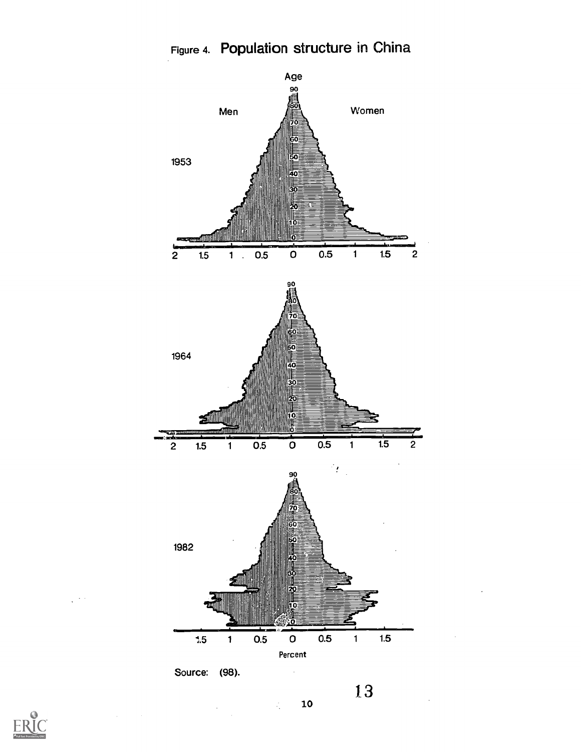

 $\frac{1}{2}$ 

 $\ddot{\phantom{0}}$ 



 $\sqrt{2\pi}$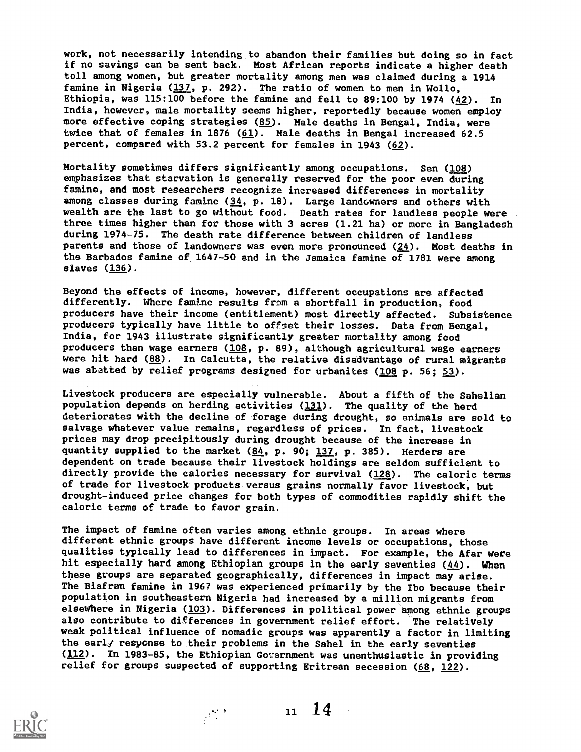work, not necessarily intending to abandon their families but doing so in fact if no savings can be sent back. Most African reports indicate a higher death toll among women, but greater mortality among men was claimed during a 1914 famine in Nigeria (137, p. 292). The ratio of women to men in Wollo, Ethiopia, was 115:100 before the famine and fell to 89:100 by 1974 (42). In India, however, male mortality seems higher, reportedly because women employ more effective coping strategies (85). Male deaths in Bengal, India, were twice that of females in 1876 ( $61$ ). Male deaths in Bengal increased 62.5 percent, compared with 53.2 percent for females in 1943 (62).

Mortality sometimes differs significantly among occupations. Sen (108) emphasizes that starvation is generally reserved for the poor even during famine, and most researchers recognize increased differences in mortality among classes during famine (34, p. 18). Large landowners and others with wealth are the last to go without food. Death rates for landless people were three times higher than for those with 3 acres (1.21 ha) or more in Bangladesh during 1974-75. The death rate difference between children of landless parents and those of landowners was even more pronounced  $(24)$ . Most deaths in the Barbados famine of 1647-50 and in the Jamaica famine of 1781 were among slaves (136).

Beyond the effects of income, however, different occupations are affected differently. Where famine results from a shortfall in production, food producers have their income (entitlement) most directly affected. Subsistence producers typically have little to offset their losses. Data from Bengal, India, for 1943 illustrate significantly greater mortality among food producers than wage earners (108, p. 89), although agricultural wage earners were hit hard (88). In Calcutta, the relative disadvantage of rural migrants was abetted by relief programs designed for urbanites (108 p. 56; 53).

Livestock producers are especially vulnerable. About a fifth of the Sahelian population depends on herding activities (131). The quality of the herd deteriorates with the decline of forage during drought, so animals are sold to salvage whatever value remains, regardless of prices. In fact, livestock prices may drop precipitously during drought because of the increase in quantity supplied to the market (84, p. 90; 137, p. 385). Herders are dependent on trade because their livestock holdings are seldom sufficient to directly provide the calories necessary for survival (128). The caloric terms of trade for livestock products versus grains normally favor livestock, but drought-induced price changes for both types of commodities rapidly shift the caloric terms of trade to favor grain.

The impact of famine often varies among ethnic groups. In areas where different ethnic groups have different income levels or occupations, those qualities typically lead to differences in impact. For example, the Afar were hit especially hard among Ethiopian groups in the early seventies (44). When these groups are separated geographically, differences in impact may arise. The Biafran famine in 1967 was experienced primarily by the Ibo because their population in southeastern Nigeria had increased by a million migrants from elsewhere in Nigeria (103). Differences in political power among ethnic groups also contribute to differences in government relief effort. The relatively weak political influence of nomadic groups was apparently a factor in limiting the early response to their problems in the Sahel in the early seventies  $(112)$ . In 1983-85, the Ethiopian Government was unenthusiastic in providing relief for groups suspected of supporting Eritrean secession  $(68, 122)$ .



 $n \t14$ 

 $\mathcal{A}^{\text{opt}}_{\text{max}}$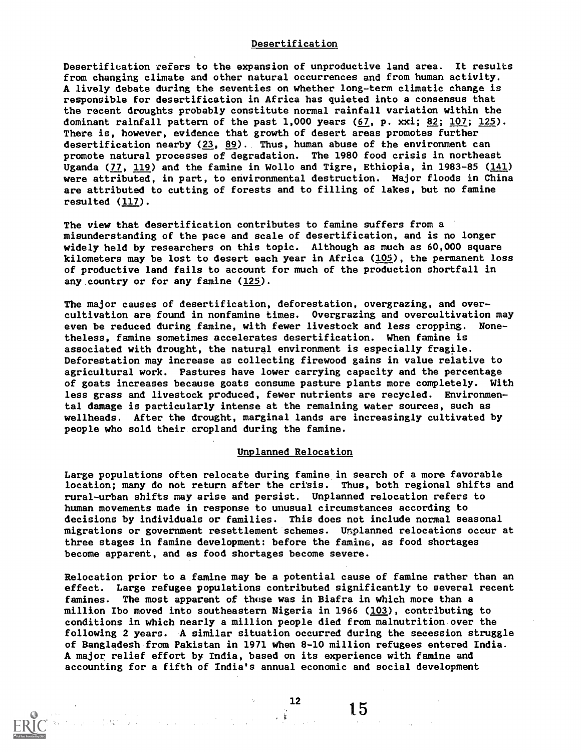#### Desertification

Desertifieation refers to the expansion of unproductive land area. It results from changing climate and other natural occurrences and from human activity. A lively debate during the seventies on whether long-term climatic change is responsible for desertification in Africa has quieted into a consensus that the recent droughts probably constitute normal rainfall variation within the dominant rainfall pattern of the past 1,000 years (67, p. xxi; 82; 107; 125). There is, however, evidence that growth of desert areas promotes further desertification nearby  $(23, 89)$ . Thus, human abuse of the environment can promote natural processes of degradation. The 1980 food crisis in northeast Uganda (77, 119) and the famine in Wollo and Tigre, Ethiopia, in 1983-85 (141) were attributed, in part, to environmental destruction. Major floods in China are attributed to cutting of forests and to filling of lakes, but no famine resulted (117).

The view that desertification contributes to famine suffers from a misunderstanding of the pace and scale of desertification, and is no longer widely held by researchers on this topic. Although as much as 60,000 square kilometers may be lost to desert each year in Africa (105), the permanent loss of productive land fails to account for much of the production shortfall in any country or for any famine (125).

The major causes of desertification, deforestation, overgrazing, and overcultivation are found in nonfamine times. Overgrazing and overcultivation may even be reduced during famine, with fewer livestock and less cropping. Nonetheless, famine sometimes accelerates desertification. When famine is associated with drought, the natural environment is especially fragile. Deforestation may increase as collecting firewood gains in value relative to agricultural work. Pastures have lower carrying capacity and the percentage of goats increases because goats consume pasture plants more completely. With less grass and livestock produced, fewer nutrients are recycled. Environmental damage is particularly intense at the remaining water sources, such as wellheads. After the drought, marginal lands are increasingly cultivated by people who sold their cropland during the famine.

#### Unplanned Relocation

Large populations often relocate during famine in search of a more favorable location; many do not return after the crisis. Thus, both regional shifts and rural-urban shifts may arise and persist. Unplanned relocation refers to human movements made in response to unusual circumstances according to decisions by individuals or families. This does not include normal seasonal migrations or government resettlement schemes. Unplanned relocations occur at three stages in famine development: before the famine, as food shortages become apparent, and as food shortages become severe.

Relocation prior to a famine may be a potential cause of famine rather than an effect. Large refugee populations contributed significantly to several recent famines. The most apparent of those was in Biafra in which more than a million Ibo moved into southeastern Nigeria in 1966 (103), contributing to conditions in which nearly a million people died from malnutrition over the following 2 years. A similar situation occurred during the secession struggle of Bangladesh from Pakistan in 1971 when 8-10 million refugees entered India. A major relief effort by India, based on its experience with famine and accounting for a fifth of India's annual economic and social development

 $\sim 3$ 

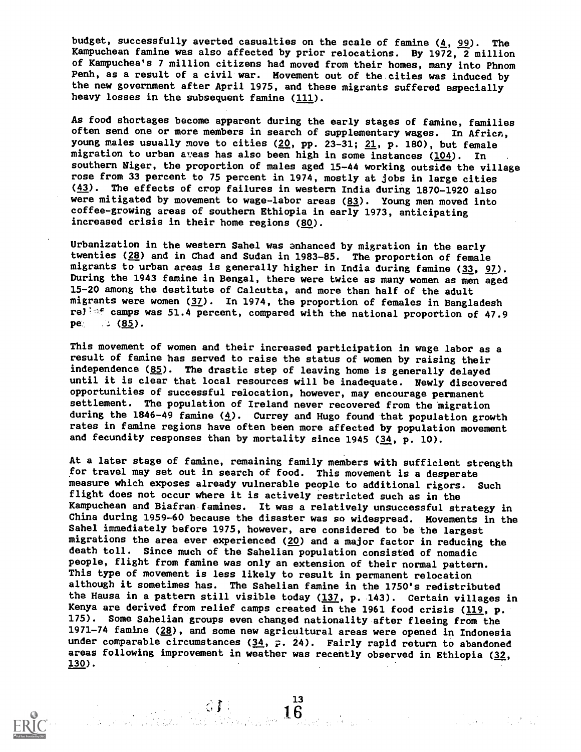budget, successfully averted casualties on the scale of famine  $(4, 99)$ . The Kampuchean famine was also affected by prior relocations. By 1972, 2 million of Kampuchea's 7 million citizens had moved from their homes, many into Phnom Penh, as a result of a civil war. Movement out of the cities was induced by the new government after April 1975, and these migrants suffered especially heavy losses in the subsequent famine (111).

As food shortages become apparent during the early stages of famine, families often send one or more members in search of supplementary wages. In Africa, young males usually move to cities  $(20, pp. 23-31; 21, p. 180)$ , but female migration to urban aveas has also been high in some instances (104). In southern Niger, the proportion of males aged 15-44 working outside the village rose from 33 percent to 75 percent in 1974, mostly at jobs in large cities (43). The effects of crop failures in western India during 1870-1920 also were mitigated by movement to wage-labor areas (83). Young men moved into coffee-growing areas of southern Ethiopia in early 1973, anticipating increased crisis in their home regions (80).

Urbanization in the western Sahel was anhanced by migration in the early twenties (28) and in Chad and Sudan in 1983-85. The proportion of female migrants to urban areas is generally higher in India during famine (33, 97). During the 1943 famine in Bengal, there were twice as many women as men aged 15-20 among the destitute of Calcutta, and more than half of the adult migrants were women (37). In 1974, the proportion of females in Bangladesh relisf camps was 51.4 percent, compared with the national proportion of 47.9 pe' ; (85).

This movement of women and their increased participation in wage labor as a result of famine has served to raise the status of women by raising their independence (85). The drastic step of leaving home is generally delayed until it is clear that local resources will be inadequate. Newly discovered opportunities of successful relocation, however, may encourage permanent settlement. The population of Ireland never recovered from the migration during the 1846-49 famine  $(4)$ . Currey and Hugo found that population growth rates in famine regions have often been more affected by population movement and fecundity responses than by mortality since  $1945$  ( $34$ , p. 10).

At a later stage of famine, remaining family members with sufficient strength for travel may set out in search of food. This movement is a desperate measure which exposes already vulnerable people to additional rigors. Such flight does not occur where it is actively restricted such as in the Kampuchean and Biafran famines. It was a relatively unsuccessful strategy in China during 1959-60 because the disaster was so widespread. Movements in the Sahel immediately before 1975, however, are considered to be the largest migrations the area ever experienced  $(20)$  and a major factor in reducing the death toll. Since much of the Sahelian population consisted of nomadic people, flight from famine was only an extension of their normal pattern. This type of movement is less likely to result in permanent relocation although it sometimes has. The Sahelian famine in the 1750's redistributed the Hausa in a pattern still visible today (137, p. 143). Certain villages in Kenya are derived from relief camps created in the 1961 food crisis (119, p. 175). Some Sahelian groups even changed nationality after fleeing from the 1971-74 famine (28), and some new agricultural areas were opened in Indonesia under comparable circumstances  $(34, 2.24)$ . Fairly rapid return to abandoned areas following improvement in weather was recently observed in Ethiopia (32, 130).

 $\mathbb{G}$  )  $\mathbb{G}$  )  $\mathbb{16}$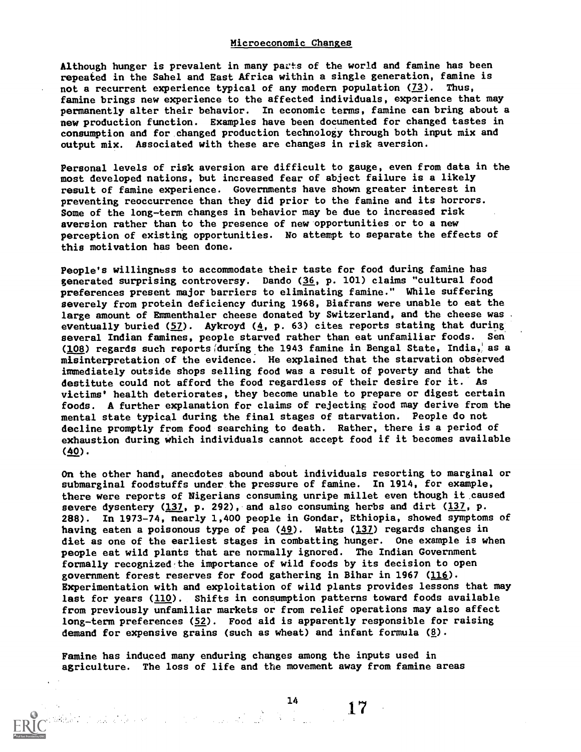#### Microeconomic Changes

Although hunger is prevalent in many pacts of the world and famine has been repeated in the Sahel and East Africa within a single generation, famine is not a recurrent experience typical of any modern population  $(73)$ . Thus, famine brings new experience to the affected individuals, experience that may permanently alter their behavior. In economic terms, famine can bring about a new production function. Examples have been documented for changed tastes in consumption and for changed production technology through both input mix and output mix. Associated with these are changes in risk aversion.

Personal levels of risk aversion are difficult to gauge, even from data in the most developed nations, but increased fear of abject failure is a likely result of famine experience. Governments have shown greater interest in preventing reoccurrence than they did prior to the famine and its horrors. Some of the long-term changes in behavior may be due to increased risk aversion rather than to the presence of new opportunities or to a new perception of existing opportunities. No attempt to separate the effects of this motivation has been done.

People's willingness to accommodate their taste for food during famine has generated surprising controversy. Dando (36, p. 101) claims "cultural food preferences present major barriers to eliminating famine." While suffering severely from protein deficiency during 1968, Biafrans were unable to eat the large amount of Emmenthaler cheese donated by Switzerland, and the cheese was . eventually buried  $(57)$ . Aykroyd  $(4, p. 63)$  cites reports stating that during several Indian famines, people starved rather than eat unfamiliar foods. Sen (108) regards such reports(during.the 1943 famine in Bengal State, India,' as a misinterpretation of the evidence. He explained that the starvation observed immediately outside shops selling food was a result of poverty and that the destitute could not afford the food regardless of their desire for it. As victims' health deteriorates, they become unable to prepare or digest certain foods. A further explanation for claims of rejecting food may derive from the mental state typical during the final stages of starvation. People do not decline promptly from food searching to death. Rather, there is a period of exhaustion during which individuals cannot accept food if it becomes available (40).

On the other hand, anecdotes abound about individuals resorting to marginal or submarginal foodstuffs under the pressure of famine. In 1914, for example, there were reports of Nigerians consuming unripe millet even though it caused severe dysentery  $(137, p. 292)$ , and also consuming herbs and dirt  $(137, p. 12)$ 288). In 1973-74, nearly 1,400 people in Gondar, Ethiopia, showed symptoms of having eaten a poisonous type of pea  $(49)$ . Watts  $(137)$  regards changes in diet as one of the earliest stages in combatting hunger. One example is when people eat wild plants that are normally ignored. The Indian Government formally recognized the importance of wild foods by its decision to open government forest reserves for food gathering in Bihar in 1967 (116). Experimentation with and exploitation of wild plants provides lessons that may last for years (110). Shifts in consumption patterns toward foods available from previously unfamiliar markets or from relief operations may also affect long-term preferences (52). Food aid is apparently responsible for raising demand for expensive grains (such as wheat) and infant formula  $(g)$ .

Famine has induced many enduring changes among the inputs used in agriculture. The loss of life and the movement away from famine areas

 $\frac{14}{100}$  17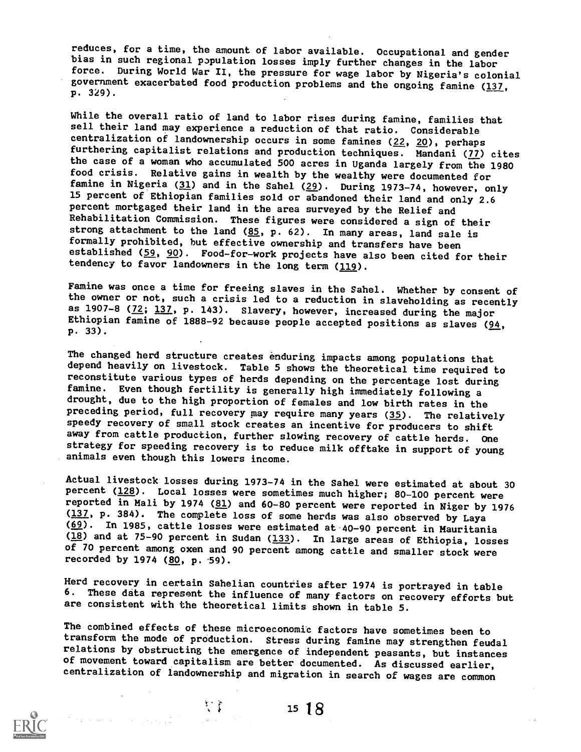reduces, for a time, the amount of labor available. Occupational and gender bias in such regional population losses imply further changes in the labor force. During World War II, the pressure for wage labor by Nigeria's colonial government exacerbated food production problems and the ongoing famine  $(137, 12)$ p. 329).

While the overall ratio of land to labor rises during famine, families that sell their land may experience a reduction of that ratio. Considerable centralization of landownership occurs in some famines  $(22, 20)$ , perhaps furthering capitalist relations and production techniques. Mandani (77) cites the case of a woman who accumulated 500 acres in Uganda largely from the 1980 food crisis. Relative gains in wealth by the wealthy were documented for famine in Nigeria  $(31)$  and in the Sahel  $(29)$ . During 1973-74, however, only 15 percent of Ethiopian families sold or abandoned their land and only 2.6 percent mortgaged their land in the area surveyed by the Relief and Rehabilitation Commission. These figures were considered a sign of their strong attachment to the land  $(85, p. 62)$ . In many areas, land sale is formally prohibited, but effective ownership and transfers have been established (59, 90). Food-for-work projects have also been cited for their tendency to favor landowners in the long term (119).

Famine was once a time for freeing slaves in the Sahel. Whether by consent of the owner or not, such a crisis led to a reduction in slaveholding as recently as 1907-8 ( $\frac{72}{137}$ , p. 143). Slavery, however, increased during the major Ethiopian famine of 1888-92 because people accepted positions as slaves (94, P. 33).

The changed herd structure creates enduring impacts among populations that depend heavily on livestock. Table 5 shows the theoretical time required to reconstitute various types of herds depending on the percentage lost during drought, due to the high proportion of females and low birth rates in the preceding period, full recovery may require many years (35). The relatively speedy recovery of small stock creates an incentive for producers to shift away from cattle production, further slowing recovery of cattle herds. One strategy for speeding recovery is to reduce milk offtake in support of young animals even though this lowers income.

Actual livestock losses during 1973-74 in the Sahel were estimated at about 30 percent (128). Local losses were sometimes much higher; 80-100 percent were reported in Mali by 1974 (81) and 60-80 percent were reported in Niger by 1976 (137, p. 384). The complete loss of some herds was also observed by Laya (69). In 1985, cattle losses were estimated at 40-90 percent in Mauritania (18) and at 75-90 percent in Sudan (133). In large areas of Ethiopia, losses of 70 percent among oxen and 90 percent among cattle and smaller stock were recorded by 1974 (80, p. 59).

Herd recovery in certain Sahelian countries after 1974 is portrayed in table 6. These data represent the influence of many factors on recovery efforts but are consistent with the theoretical limits shown in table 5.

The combined effects of these microeconomic factors have sometimes been to transform the mode of production. Stress during famine may strengthen feudal relations by obstructing the emergence of independent peasants, but instances of movement toward capitalism are better documented. As discussed earlier, centralization of landownership and migration in search of wages are common



 $15 \t 18$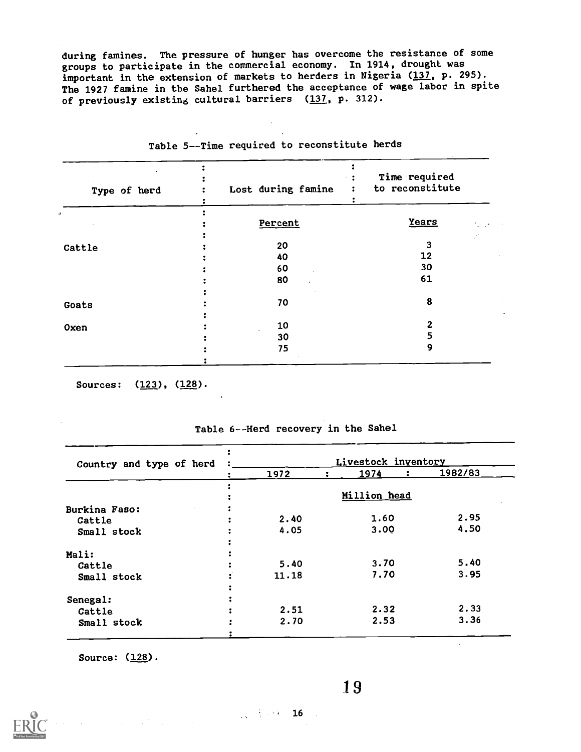during famines. The pressure of hunger has overcome the resistance of some groups to participate in the commercial economy. In 1914, drought was important in the extension of markets to herders in Nigeria (137, p. 295). The 1927 famine in the Sahel furthered t he acceptance of wage labor in spite of previously existing cultural barriers (137, p. 312).

| Type of herd | Lost during famine | Time required<br>to reconstitute |
|--------------|--------------------|----------------------------------|
|              | Percent            | Years                            |
| Cattle       | 20                 | 3                                |
|              | 40                 | 12                               |
|              | 60                 | 30                               |
|              | 80                 | 61                               |
| Goats        | 70                 | 8                                |
| Oxen         | 10                 |                                  |
|              | 30                 |                                  |
|              | 75                 |                                  |
|              |                    |                                  |

Table 5--Time required to reconstitute herds

Sources: (123), (128).

| Country and type of herd | Livestock inventory |  |      |  |         |
|--------------------------|---------------------|--|------|--|---------|
|                          | 1972                |  | 1974 |  | 1982/83 |
|                          |                     |  |      |  |         |
|                          | Million head        |  |      |  |         |
| Burkina Faso:            |                     |  |      |  |         |
| Cattle                   | 2.40                |  | 1.60 |  | 2.95    |
| Small stock              | 4.05                |  | 3.00 |  | 4.50    |
|                          |                     |  |      |  |         |
| Mali:                    |                     |  |      |  |         |
| Cattle                   | 5.40                |  | 3.70 |  | 5.40    |
| Small stock              | 11.18               |  | 7.70 |  | 3.95    |
|                          |                     |  |      |  |         |
| Senegal:                 |                     |  |      |  |         |
| Cattle                   | 2.51                |  | 2.32 |  | 2.33    |
| Small stock              | 2.70                |  | 2.53 |  | 3.36    |

#### Table 6--Herd recovery in the Sahel

Source: (128).

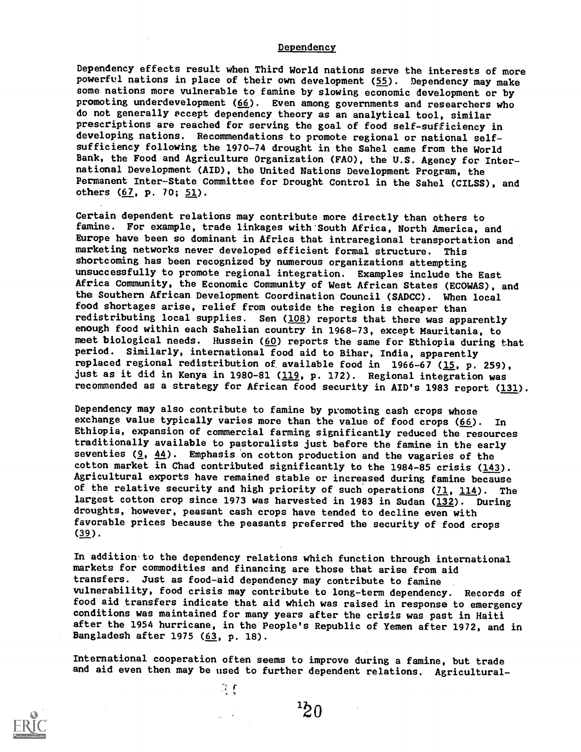#### **Dependency**

Dependency effects result when Third World nations serve the interests of more powerful nations in place of their own development (55). Dependency may make some nations more vulnerable to famine by slowing economic development or by promoting underdevelopment  $(66)$ . Even among governments and researchers who do not generally eccept dependency theory as an analytical tool, similar prescriptions are reached for serving the goal of food self-sufficiency in developing nations. Recommendations to promote regional or national selfsufficiency following the 1970-74 drought in the Sahel came from the World Bank, the Food and Agriculture Organization (FAO), the U.S. Agency for International Development (AID), the United Nations Development Program, the Permanent Inter-State Committee for Drought Control in the Sahel (CILSS), and others (67, p. 70; 51).

Certain dependent relations may contribute more directly than others to famine. For example, trade linkages with South Africa, North America, and Europe have been so dominant in Africa that intraregional transportation and marketing networks never developed efficient formal structure. This shortcoming has been recognized by numerous organizations attempting unsuccessfully to promote regional integration. Examples include the East Africa Community, the Economic Community of West African States (ECOWAS), and the Southern African Development Coordination Council (SADCC). When local food shortages arise, relief from outside the region is cheaper than redistributing local supplies. Sen (108) reports that there was apparently enough food within each Sahelian country in 1968-73, except Mauritania, to meet biological needs. Hussein ( $60$ ) reports the same for Ethiopia during that period. Similarly, international food aid to Bihar, India, apparently replaced regional redistribution of available food in  $1966-67$  (15, p. 259), just as it did in Kenya in 1980-81 (119, p. 172). Regional integration was recommended as a strategy for African food security in AID's 1983 report (131).

Dependency may also contribute to famine by promoting cash crops whose exchange value typically varies more than the value of food crops  $(66)$ . In Ethiopia, expansion of commercial farming significantly reduced the resources traditionally available to pastoralists just before the famine in the early seventies  $(9, 44)$ . Emphasis on cotton production and the vagaries of the cotton market in Chad contributed significantly to the 1984-85 crisis  $(143)$ . Agricultural exports have remained stable or increased during famine because of the relative security and high priority of such operations  $(71, 114)$ . The largest cotton crop since 1973 was harvested in 1983 in Sudan (132). During droughts, however, peasant cash crops have tended to decline even with favorable prices because the peasants preferred the security of food crops  $(39)$ .

In addition to the dependency relations which function through international markets for commodities and financing are those that arise from aid transfers. Just as food-aid dependency may contribute to famine vulnerability, food crisis may contribute to long-term dependency. Records of food aid transfers indicate that aid which was raised in response to emergency conditions was maintained for many years after the crisis was past in Haiti after the 1954 hurricane, in the People's Republic of Yemen after 1972, and in Bangladesh after 1975 (63, p. 18).

International cooperation often seems to improve during a famine, but trade and aid even then may be used to further dependent relations. Agricultural-

 $\mathcal{L}^{\mathcal{L}}$ 

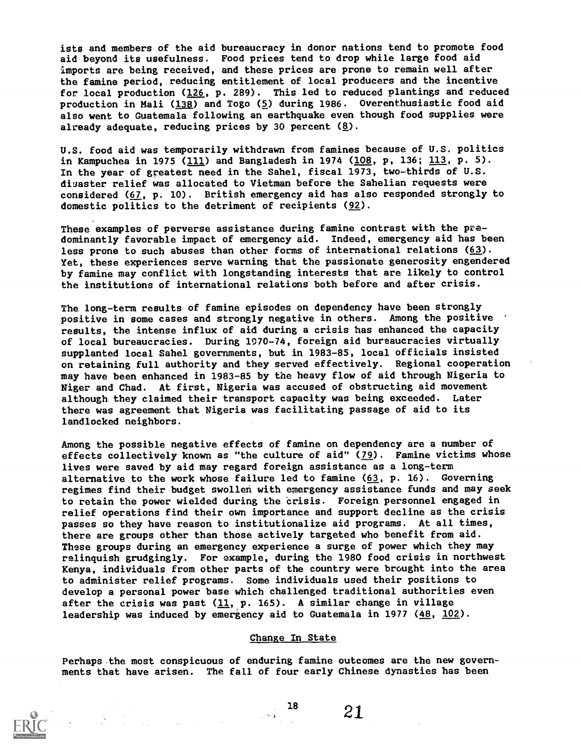ists and members of the aid bureaucracy in donor nations tend to promote food aid beyond its usefulness. Food prices tend to drop while large food aid imports are being received, and these prices are prone to remain well after the famine period, reducing entitlement of local producers and the incentive for local production (126, p. 289). This led to reduced plantings and reduced production in Mali ( $138$ ) and Togo ( $5$ ) during 1986. Overenthusiastic food aid also went to Guatemala following an earthquake even though food supplies were already adequate, reducing prices by 30 percent  $(g)$ .

U.S. food aid was temporarily withdrawn from famines because of U.S. politics in Kampuchea in 1975 ( $\underline{111}$ ) and Bangladesh in 1974 ( $\underline{108}$ , p, 136;  $\underline{113}$ , p. 5). In the year of greatest need in the Sahel, fiscal 1973, two-thirds of U.S. disaster relief was allocated to Vietman before the Sahelian requests were considered (67, p. 10). British emergency aid has also responded strongly to domestic politics to the detriment of recipients (92).

These examples of perverse assistance during famine contrast with the predominantly favorable impact of emergency aid. Indeed, emergency aid has been less prone to such abuses than other forms of international relations (63). Yet, these experiences serve warning that the passionate generosity engendered by famine may conflict with longstanding interests that are likely to control the institutions of international relations both before and after crisis.

The long-term results of famine episodes on dependency have been strongly positive in some cases and strongly negative in others. Among the positive ' results, the intense influx of aid during a crisis has enhanced the capacity of local bureaucracies. During 1070-74, foreign aid bureaucracies virtually supplanted local Sahel governments, but in 1983-85, local officials insisted on retaining full authority and they served effectively. Regional cooperation may have been enhanced in 1983-85 by the heavy flow of aid through Nigeria to Niger and Chad. At first, Nigeria was accused of obstructing aid movement although they claimed their transport capacity was being exceeded. Later there was agreement that Nigeria was facilitating passage of aid to its landlocked neighbors.

Among the possible negative effects of famine on dependency are a number of effects collectively known as "the culture of aid" (79). Famine victims whose lives were saved by aid may regard foreign assistance as a long-term alternative to the work whose failure led to famine  $(63, p. 16)$ . Governing regimes find their budget swollen with emergency assistance funds and may seek to retain the power wielded during the crisis. Foreign personnel engaged in relief operations find their own importance and support decline as the crisis passes so they have reason to institutionalize aid programs. At all times, there are groups other than those actively targeted who benefit from aid. These groups during an emergency experience a surge of power which they may relinquish grudgingly. For example, during the 1980 food crisis in northwest Kenya, individuals from other parts of the country were brought into the area to administer relief programs. Some individuals used their positions to develop a personal power base which challenged traditional authorities even after the crisis was past  $(11, p. 165)$ . A similar change in village leadership was induced by emergency aid to Guatemala in 1977 (48, 102).

#### Change In State

Perhaps the most conspicuous of enduring famine outcomes are the new governments that have arisen. The fall of four early Chinese dynasties has been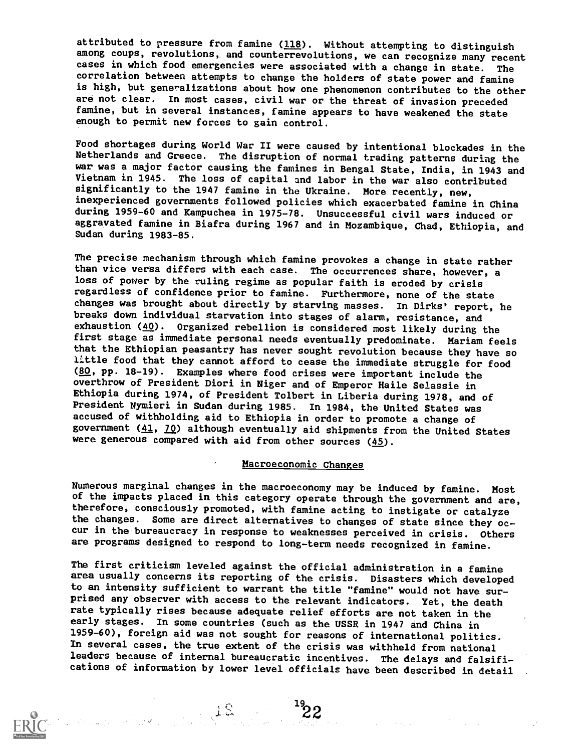attributed to pressure from famine (118). Without attempting to distinguish among coups, revolutions, and counterrevolutions, we can recognize many recent cases in which food emergencies were associated with a change in state. The correlation between attempts to change the holders of state power and famine is high, but generalizations about how one phenomenon contributes to the other are not clear. In most cases, civil war or the threat of invasion preceded famine, but in several instances, famine appears to have weakened the state enough to permit new forces to gain control.

Food shortages during World War II were caused by intentional blockades in the Netherlands and Greece. The disruption of normal trading patterns during the war was a major factor causing the famines in Bengal State, India, in 1943 and Vietnam in 1945. The loss of capital and labor in the war also contributed significantly to the 1947 famine in the Ukraine. More recently, new, inexperienced governments followed policies which exacerbated famine in China during 1959-60 and Kampuchea in 1975-78. Unsuccessful civil wars induced or aggravated famine in Biafra during 1967 and in Mozambique, Chad, Ethiopia, and Sudan during 1983-85.

The precise mechanism through which famine provokes a change in state rather than vice versa differs with each case. The occurrences share, however, a loss of power by the ruling regime as popular faith is eroded by crisis regardless of confidence prior to famine. Furthermore, none of the state changes was brought about directly by starving masses. In Dirks' report, he breaks down individual starvation into stages of alarm, resistance, and exhaustion (40). Organized rebellion is considered most likely during the first stage as immediate personal needs eventually predominate. Mariam feels that the Ethiopian peasantry has never sought revolution because they have so little food that they cannot afford to cease the immediate struggle for food (80, pp. 18-19). Examples where food crises were important include the overthrow of President Diori in Niger and of Emperor Haile Selassie in Ethiopia during 1974, of President Tolbert in Liberia during 1978, and of President Nymieri in Sudan during 1985. In 1984, the United States was accused of withholding aid to Ethiopia in order to promote a change of government  $(41, 70)$  although eventually aid shipments from the United States were generous compared with aid from other sources  $(45)$ .

#### Macroeconomic Changes

Numerous marginal changes in the macroeconomy may be induced by famine. Most of the impacts placed in this category operate through the government and are, therefore, consciously promoted, with famine acting to instigate or catalyze the changes. Some are direct alternatives to changes of state since they occur in the bureaucracy in response to weaknesses perceived in crisis. Others are programs designed to respond to long-term needs recognized in famine.

The first criticism leveled against the official administration in a famine area usually concerns its reporting of the crisis. Disasters which developed to an intensity sufficient to warrant the title "famine" would not have surprised any observer with access to the relevant indicators. Yet, the death rate typically rises because adequate relief efforts are not taken in the early stages. In some countries (such as the USSR in 1947 and China in 1959-60), foreign aid was not sought for reasons of international politics. In several cases, the true extent of the crisis was withheld from national leaders because of internal bureaucratic incentives. The delays and falsifications of information by lower level officials have been described in detail

 $^{19}$  $22$ 

 $\mathcal{L}^{\mathcal{L}}(\mathbf{q})$  and  $\mathcal{L}^{\mathcal{L}}(\mathbf{q})$  and  $\mathcal{L}^{\mathcal{L}}(\mathbf{q})$  and  $\mathcal{L}^{\mathcal{L}}(\mathbf{q})$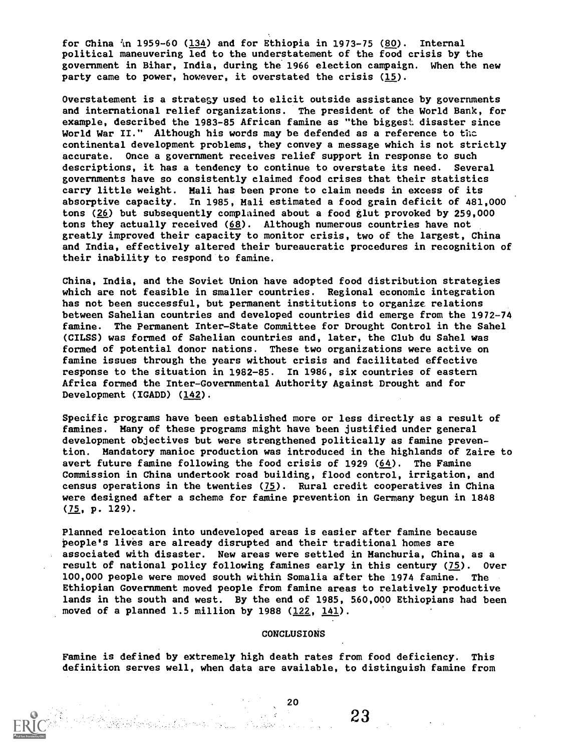for China  $\ln 1959-60$  (134) and for Ethiopia in 1973-75 (80). Internal political maneuvering led to the understatement of the food crisis by the government in Bihar, India, during the 1966 election campaign. When the new party came to power, however, it overstated the crisis (15).

Overstatement is a stratesy used to elicit outside assistance by governments and international relief organizations. The president of the World Bank, for example, described the 1983-85 African famine as "the biggest disaster since World War II." Although his words may be defended as a reference to thc continental development problems, they convey a message which is not strictly accurate. Once a government receives relief support in response to such descriptions, it has a tendency to continue to overstate its need. Several governments have so consistently claimed food crises that their statistics carry little weight. Mali has been prone to claim needs in excess of its absorptive capacity. In 1985, Mali estimated a food grain deficit of 481,000 tons (26) but subsequently complained about a food glut provoked by 259,000 tons they actually received  $(68)$ . Although numerous countries have not greatly improved their capacity to monitor crisis, two of the largest, China and India, effectively altered their bureaucratic procedures in recognition of their inability to respond to famine.

China, India, and the Soviet Union have adopted food distribution strategies which are not feasible in smaller countries. Regional economic integration has not been successful, but permanent institutions to organize relations between Sahelian countries and developed countries did emerge from the 1972-74 famine. The Permanent Inter-State Committee for Drought Control in the Sahel (CILSS) was formed of Sahelian countries and, later, the Club du Sahel was formed of potential donor nations. These two organizations were active on famine issues through the years without crisis and facilitated effective response to the situation in 1982-85. In 1986, six countries of eastern Africa formed the Inter-Governmental Authority Against Drought and for Development (IGADD) (142).

Specific programs have been established more or less directly as a result of famines. Many of these programs might have been justified under general development objectives but were strengthened politically as famine prevention. Mandatory manioc production was introduced in the highlands of Zaire to avert future famine following the food crisis of 1929 (64). The Famine Commission in China undertook road building, flood control, irrigation, and census operations in the twenties  $(75)$ . Rural credit cooperatives in China were designed after a scheme for famine prevention in Germany begun in 1848 (75, p. 129).

Planned relocation into undeveloped areas is easier after famine because People's lives are already disrupted and their traditional homes are associated with disaster. New areas were settled in Manchuria, China, as a result of national policy following famines early in this century (75). Over 100,000 people were moved south within Somalia after the 1974 famine. The Ethiopian Government moved people from famine areas to relatively productive lands in the south and west. By the end of 1985, 560,000 Ethiopians had been moved of a planned 1.5 million by 1988  $(122, 141)$ .

#### CONCLUSIONS

23

Famine is defined by extremely high death rates from food deficiency. This definition serves well, when data are available, to distinguish famine from

an 1999)<br>Albert Belgium (Baldel Barnett La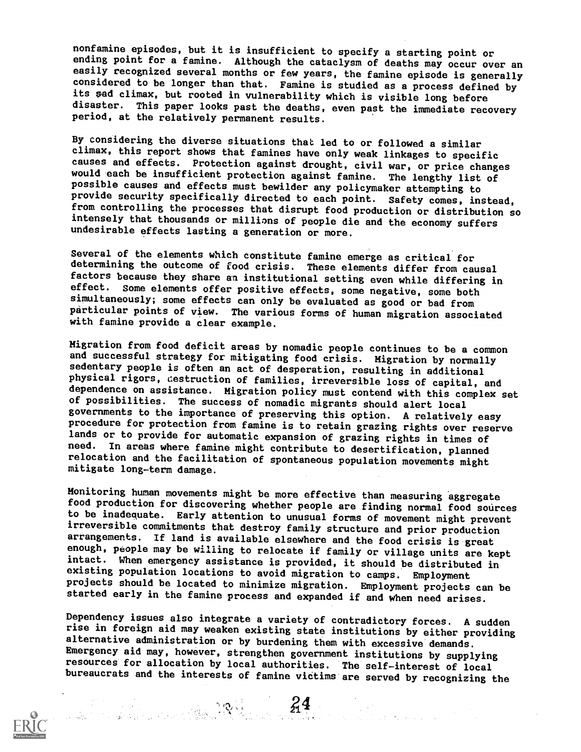nonfamine episodes, but it is insufficient to specify a starting point or ending point for a famine. Although the cataclysm of deaths may occur over an easily recognized several months or few years, the famine episode is generally considered to be longer than that. Famine is studied as a process defined by its sad climax, but rooted in vulnerability which is visible long before disaster. This paper looks past the deaths, even past the immediate recovery period, at the relatively permanent results.

By considering the diverse situations that. led to or followed a similar climax, this report shows that famines have only weak linkages to specific causes and effects. Protection against drought, civil war, or price changes would each be insufficient protection against famine. The lengthy list of possible causes and effects must bewilder any policymaker attempting to provide security specifically directed to each point. Safety comes, instead,<br>from controlling the processes that disrupt food production or distribution so intensely that thousands or millions of people die and the economy suffers undesirable effects lasting a generation or more.

Several of the elements which constitute famine emerge as critical for determining the outcome of food crisis. These elements differ from causal factors because they share an institutional setting even while differing in effect. Some elements offer positive effects, some negative, some both simultaneously; some effects can only be evaluated as good or bad from particular points of view. The various forms of human migration associated with famine provide a clear example.

Migration from food deficit areas by nomadic people continues to be a common and successful strategy for mitigating food crisis. Migration by normally sedentary people is often an act of desperation, resulting in additional physical rigors, destruction of families, irreversible loss of capital, and dependence on assistance. Migration policy must contend with this complex set of possibilities. The success of nomadic migrants should alert local governments to the importance of preserving this option. A relatively easy procedure for protection from famine is to retain grazing rights over reserve lands or to provide for automatic expansion of grazing rights in times of need. In areas where famine might contribute to desertification, planned relocation and the facilitation of spontaneous population movements might mitigate long-term damage.

Monitoring human movements might be more effective than measuring aggregate to be inadequate. Early attention to unusual forms of movement might prevent irreversible commitments that destroy family structure and prior production<br>arrangements. If land is available elsewhere and the food crisis is great enough, people may be willing to relocate if family or village units are kept intact. When emergency assistance is provided, it should be distributed in existing population locations to avoid migration to camps. Employment projects should be located to minimize migration. Employment projects can be started early in the famine process and expanded if and when need arises.

Dependency issues also integrate a variety of contradictory forces. A sudden rise in foreign aid may weaken existing state institutions by either providing alternative administration or by burdening them with excessive demands. Emergency aid may, however, strengthen government institutions by supplying resources for allocation by local authorities. The self-interest of local bureaucrats and the interests of famine victims are served by recognizing the



The complex of the complex of  $\mathbb{R}^4$  .  $24$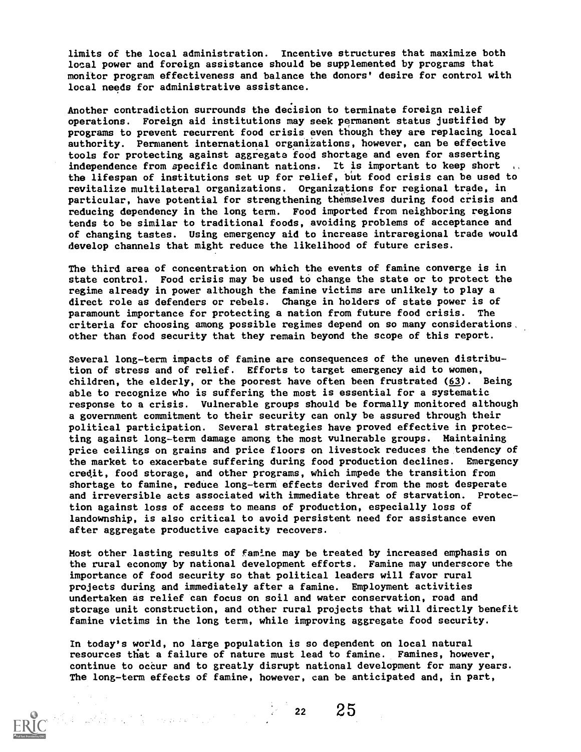limits of the local administration. Incentive structures that maximize both local power and foreign assistance should be supplemented by programs that monitor program effectiveness and balance the donors' desire for control with local needs for administrative assistance.

Another contradiction surrounds the decision to terminate foreign relief operations. Foreign aid institutions may seek permanent status justified by programs to prevent recurrent food crisis even though they are replacing local authority. Permanent international organizations, however, can be effective tools for protecting against aggregate food shortage and even for asserting independence from specific dominant nations. It is important to keep short the lifespan of institutions set up for relief, but food crisis can be used to revitalize multilateral organizations. Organizations for regional trade, in particular, have potential for strengthening themselves during food crisis and reducing dependency in the long term. Food imported from neighboring regions tends to be similar to traditional foods, avoiding problems of acceptance and of changing tastes. Using emergency aid to increase intraregional trade would develop channels that might reduce the likelihood of future crises.

The third area of concentration on which the events of famine converge is in state control. Food crisis may be used to change the state or to protect the regime already in power although the famine victims are unlikely to play a direct role as defenders or rebels. Change in holders of state power is of paramount importance for protecting a nation from future food crisis. The criteria for choosing among possible regimes depend on so many considerations other than food security that they remain beyond the scope of this report.

Several long-term impacts of famine are consequences of the uneven distribution of stress and of relief. Efforts to target emergency aid to women, children, the elderly, or the poorest have often been frustrated  $(63)$ . Being able to recognize who is suffering the most is essential for a systematic response to a crisis. Vulnerable groups should be formally monitored although a government commitment to their security can only be assured through their political participation. Several strategies have proved effective in protecting against long-term damage among the most vulnerable groups. Maintaining price ceilings on grains and price floors on livestock reduces the tendency of the market to exacerbate suffering during food production declines. Emergency credit, food storage, and other programs, which impede the transition from shortage to famine, reduce long-term effects derived from the most desperate and irreversible acts associated with immediate threat of starvation. Protection against loss of access to means of production, especially loss of landownship, is also critical to avoid persistent need for assistance even after aggregate productive capacity recovers.

Most other lasting results of famine may be treated by increased emphasis on the rural economy by national development efforts. Famine may underscore the importance of food security so that political leaders will favor rural projects during and immediately after a famine. Employment activities undertaken as relief can focus on soil and water conservation, road and storage unit construction, and other rural projects that will directly benefit famine victims in the long term, while improving aggregate food security.

In today's world, no large population is so dependent on local natural resources that a failure of nature must lead to famine. Famines, however, continue to oceur and to greatly disrupt national development for many years. The long-term effects of famine, however, can be anticipated and, in part,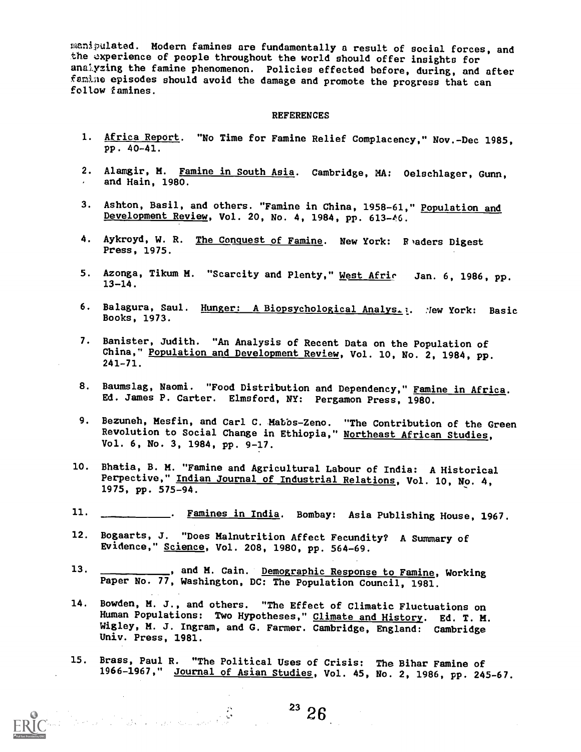manipulated. Modern famines are fundamentally a result of social forces, and the experience of people throughout the world should offer insights for anaiyzing the famine phenomenon. Policies effected before, during, and after famline episodes should avoid the damage and promote the progress that can follow famines.

#### REFERENCES

- 1. Africa Report. "No Time for Famine Relief Complacency," Nov.-Dec 1985, pp. 40-41.
- 2. Alamgir, M. Famine in South Asia. Cambridge, MA: Oelschlager, Gunn, and Hain, 1980.
- 3. Ashton, Basil, and others. "Famine in China, 1958-61," Population and Development Review, Vol. 20, No. 4, 1984, pp. 613-46.
- 4. Aykroyd, W. R. The Conquest of Famine. New York: Readers Digest Press, 1975.
- 5. Azonga, Tikum M. "Scarcity and Plenty," <u>West Afric</u> Jan. 6, 1986, pp.  $13 - 14$ .
- 6. Balagura, Saul. Hunger: A Biopsychological Analys. l. Mew York: Basic Books, 1973.
- 7. Banister, Judith. "An Analysis of Recent Data on the Population of China," Population and Development Review, Vol. 10, No. 2, 1984, pp. 241-71.
- 8. Baumslag, Naomi. "Food Distribution and Dependency," Famine in Africa. Ed. James P. Carter. Elmsford, NY: Pergamon Press, 1980.
- 9. Bezuneh, Mesfin, and Carl C. Mabbs-Zeno. "The Contribution of the Green Revolution to Social Change in Ethiopia," Northeast African Studies, Vol. 6, No. 3, 1984, pp. 9-17.
- 10. Bhatia, B. M. "Famine and Agricultural Labour of India: A Historical Perpective," Indian Journal of Industrial Relations, Vol. 10, No. 4, 1975, pp. 575-94.
- 11. . . . . Famines in India. Bombay: Asia Publishing House, 1967.
- 12. Bogaarts, J. "Does Malnutrition Affect Fecundity? A Summary of Evidence," Science, Vol. 208, 1980, pp. 564-69.
- 13. \_\_\_\_\_\_\_\_\_, and M. Cain. Demographic Response to Famine, Working Paper No. 77, Washington, DC: The Population Council, 1981.
- 14. Bowden, M. J., and others. "The Effect of Climatic Fluctuations on<br>Human Populations: Two Hypotheses," <u>Climate and History</u>. Ed. T. M. Wigley, M. J. Ingram, and G. Farmer. Cambridge, England: Cambridge Univ. Press, 1981.

15. Brass, Paul R. "The Political Uses of Crisis: The Bihar Famine of 1966-1967," Journal of Asian Studies, Vol. 45, No. 2, 1986, pp. 245-67.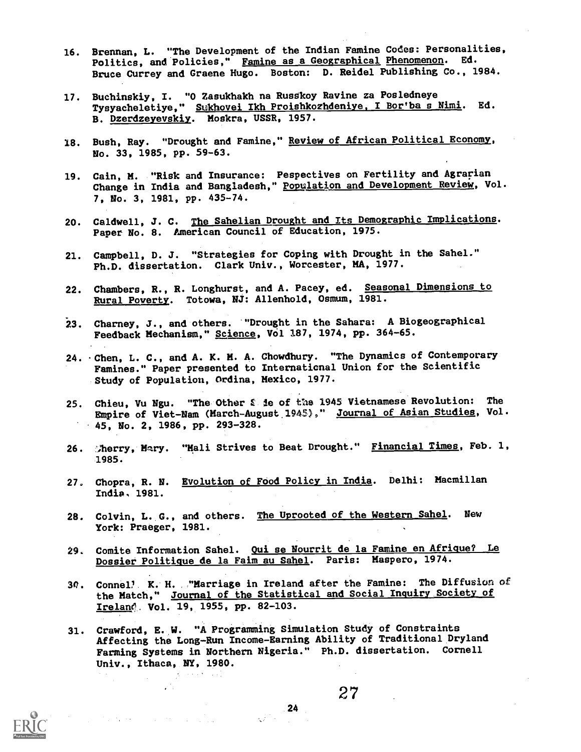- 16. Brennan, L. "The Development of the Indian Famine Codes: Personalities, Politics, and Policies," Famine as a Geographical Phenomenon. Ed. Bruce Currey and Greene Hugo. Boston: D. Reidel Publishing Co., 1984.
- 17. Buchinskiy, I. "0 Zasukhakh na Russikoy Ravine za Posledneye Tysyacheletiye," Sukhovei Ikh Proishkozhdeniye, I Bor'ba s Nimi. Ed. B. Dzerdzeyevskiy. Moskra, USSR, 1957.
- 18. Bush, Ray. "Drought and Famine," Review of African Political Economy, No. 33, 1985, pp. 59-63.
- 19. Cain, M. "Risk and Insurance: Pespectives on Fertility and Agrarian Change in India and Bangladesh," <u>Population and Development Review</u>, Vol. 7, No. 3, 1981, pp. 435-74.
- 20. Caldwell, J. C. The Sahelian Drought and Its Demographic Implications. Paper No. 8. American Council of Education, 1975.
- 21. Campbell, D. J. "Strategies for Coping with Drought in the Sahel." Ph.D. dissertation. Clark Univ., Worcester, MA, 1977.
- 22. Chambers, R., R. Longhurst, and A. Pacey, ed. Seasonal Dimensions to Rural Powerty. Totowa, NJ: Allenhold, Osmum, 1981.
- 23. Charney, J., and others. "Drought in the Sahara: A Biogeographical Feedback Mechanism," Science, Vol 187, 1974, pp. 364-65.
- 24. -Chen, L. C., and A. K. M. A. Chowdhury. "The Dynamics of Contemporary Famines." Paper presented to International Union for the Scientific Study of Population, Ordina, Mexico, 1977.
- 25. Chieu, Vu Ngu. "The Other *S* ie of the 1945 Vietnamese Revolution: The Empire of Viet-Nam (March-August 1945)," Journal of Asian Studies, Vol. 45, No. 2, 1986, pp. 293-328.
- 26. Sherry, Mary. "Mali Strives to Beat Drought." Financial Times, Feb. 1, 1985.
- 27. Chopra, R. N. Evolution of Food Policy in India. Delhi: Macmillan India. 1981.
- 28. Colvin, L. G., and others. The Uprooted of the Western Sahel. New York: Praeger, 1981.
- 29. Comite Information Sahel. Qui se Nourrit de la Famine en Afrique? Le Dossier Politique de la Faim au Sahel. Paris: Maspero, 1974.
- 30. Connel, K. H. "Marriage in Ireland after the Famine: The Diffusion of the Match," Journal of the Statistical and Social Inquiry Society of Ireland Vol. 19, 1955, pp. 82-103.
- 31. Crawford, E. W. "A Programming Simulation Study of Constraints Affecting the Long-Run Income-Earning Ability of Traditional Dryland Farming Systems in Northern Nigeria." Ph.D. dissertation. Cornell Univ., Ithaca, NY, 1980.

 $\frac{1}{2} \sum_{i=1}^{n}$ 

 $\label{eq:2.1} \frac{1}{\sqrt{2}}\left(\frac{1}{\sqrt{2}}\left(\frac{1}{\sqrt{2}}\right)\frac{1}{\sqrt{2}}\right) \left(\frac{1}{\sqrt{2}}\left(\frac{1}{\sqrt{2}}\right)\frac{1}{\sqrt{2}}\right) \left(\frac{1}{\sqrt{2}}\left(\frac{1}{\sqrt{2}}\right)\frac{1}{\sqrt{2}}\right) \left(\frac{1}{\sqrt{2}}\right) \left(\frac{1}{\sqrt{2}}\right) \left(\frac{1}{\sqrt{2}}\right) \left(\frac{1}{\sqrt{2}}\right) \left(\frac{1}{\sqrt{2}}\right) \left(\frac{1}{\sqrt$ 

 $\frac{24}{2}$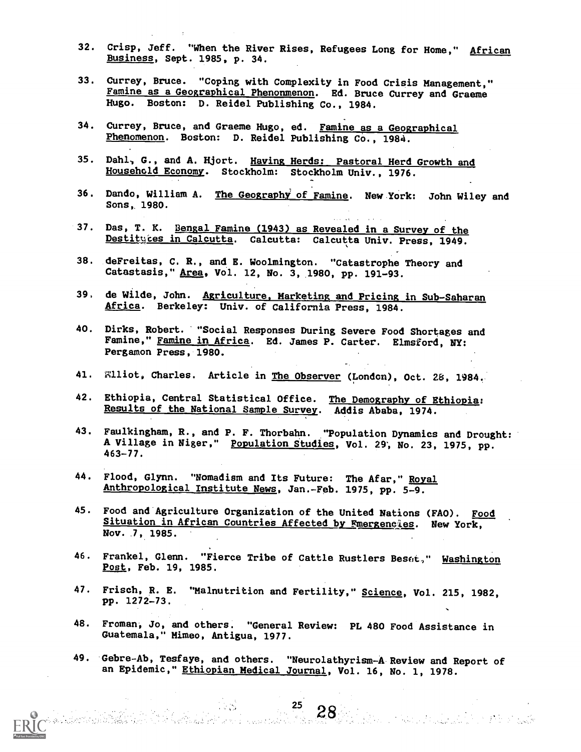- 32. Crisp, Jeff. "When the River Rises, Refugees Long for Home," African Business, Sept. 1985, p. 34.
- 33. Currey, Bruce. "Coping with Complexity in Food Crisis Management," Famine as a Geographical Phenonmenon. Ed. Bruce Currey and Graeme Hugo. Boston: D. Reidel Publishing Co., 1984.
- 34. Currey, Bruce, and Graeme Hugo, ed. Famine as a Geographical Phenomenon. Boston: D. Reidel Publishing Co., 1984.
- 35. Dahl, G., and A. Wort. Having Herds: Pastoral Herd Growth and Household Economy. Stockholm: Stockholm Univ., 1976.
- 36. Dando, William A. The Geography of Famine. New York: John Wiley and Sons, 1980.
- 37. Das, T. K. Bengal Famine (1943) as Revealed in a Survey of the Destituces in Calcutta. Calcutta: Calcutta Univ. Press, 1949.
- 38. deFreitas, C. R., and E. Woolmington. "Catastrophe Theory and Catastasis," Area, Vol. 12, No. 3, 1980, pp. 191-93.
- 39, de Wilde, John. Agriculture, Marketing and Pricing in Sub-Saharan Africa. Berkeley: Univ. of California Press, 1984.
- 40. Dirks, Robert. "Social Responses During Severe Food Shortages and Famine," <u>Famine in Africa</u>. Ed. James P. Carter. Elmsford, NY:<br>-Pergamon Press, 1980.
- 41. Williot, Charles. Article in <u>The Observer</u> (London), Oct. 28, 1984.
- 42. Ethiopia, Central Statistical Office. The Demography of Ethiopia: Results of the National Sample Survey. Addis Ababa, 1974.
- 43. Faulkingham, R., and P. F. Thorbahn. "Population Dynamics and Drought: A Village in Niger," Population Studies, Vol. 29, No. 23, 1975, pp. 463-77.
- 44. Flood, Glynn. "Nomadism and Its Future: The Afar," Royal Anthropological Institute News, Jan.-Feb. 1975, pp. 5-9.
- 45. Food and Agriculture Organization of the United Nations (FAO). Food Situation in African Countries Affected by Emergencies. New York, Nov. 7, 1985.
- 46. Frankel, Glenn. "Fierce Tribe of Cattle Rustlers Besot," Washington Post, Feb. 19, 1985.
- 47. Frisch, R. E. "Malnutrition and Fertility," Science, Vol. 215, 1982, pp. 1272-73.
- 48. Froman, Jo, and others. "General Review: PL 480 Food Assistance in Guatemala," Mimeo, Antigua, 1977.
- 49. Gebre-Ab, Tesfaye, and others. "Neurolathyrism-A Review and Report of an Epidemic," Ethiopian Medical Journal, Vol. 16, No. 1, 1978.

 $\mathcal{L}_{\text{max}}$  .

 $25$ 

en 28.<br>Sama Salah Sahiji di Kabupatén Karajaan Salah Salah Salah Salah Salah Salah Salah Salah Salah Salah Salah Sala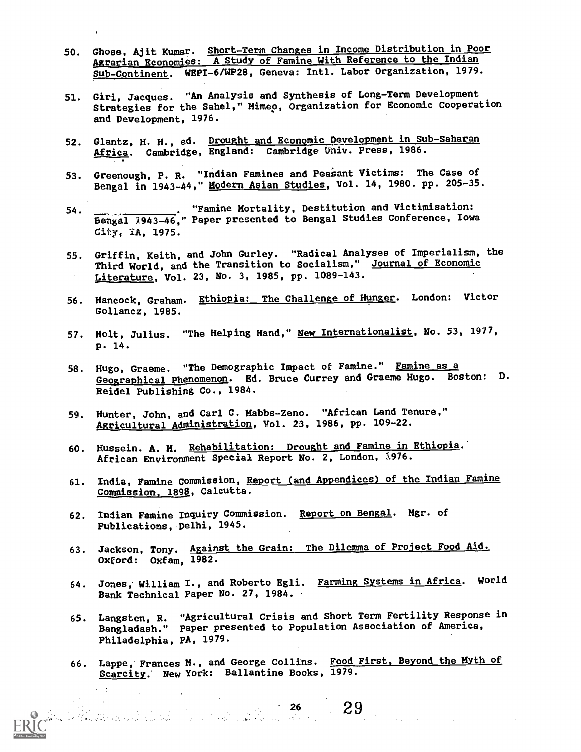- 50. Ghese, Ajit Kumar. Short-Term Changes in Income Distribution in Poor Agrarian Economies: A Study of Famine With Reference to the Indian Sub-Continent. WEPI-6/WP28, Geneva: Intl. Labor Organization, 1979.
- 51. Girl, Jacques. "An Analysis and Synthesis of Long-Term Development Strategies for the Sahel," Mimep, Organization for Economic Cooperation and Development, 1976.
- 52. Glantz, H. H., ed. Drought and Economic Development in Sub-Saharan Africa. Cambridge, England: Cambridge Univ. Press, 1986.
- 53. Greenough, P. R. "Indian Famines and Peasant Victims: The Case of Bengal in 1943-44," Modern Asian Studies, Vol. 14, 1980. pp. 205-35.
- 54. "Famine Mortality, Destitution and Victimisation: Bengal )943-46," Paper presented to Bengal Studies Conference, Iowa City, IA, 1975.
- 55. Griffin, Keith, and John Gurley. "Radical Analyses of Imperialism, the Third World, and the Transition to Socialism," Journal of Economic Literature, Vol. 23, No. 3, 1985, pp. 1089-143.
- 56. Hancock, Graham. Ethiopia: The Challenge of Hunger. London: Victor Gollancz, 1985.
- 57. Holt, Julius. "The Helping Hand," <u>New Internationalist</u>, No. 53, 1977, P. 14.
- 58. Hugo, Graeme. "The Demographic Impact of Famine." Famine as a Geographical Phenomenon. Ed. Bruce Currey and Graeme Hugo. Boston: D. Reidel Publishing Co., 1984.
- 59. Hunter, John, and Carl C. Mabbs-Zeno. "African Land Tenure," Aspicultural Administration, Vol. 23, 1986, pp. 109-22.
- 60. Hussein. A. H. Rehabilitation: Drought and Famine in Ethiopia. African Environment Special Report No. 2, London, 1976.
- 61. India, Famine Commission, Report (and Appendices) of the Indian Famine Commission, 1898, Calcutta.
- 62. Indian Famine Inquiry Commission. Report on Bengal. Mgr. of Publications, Delhi, 1945.
- 63. Jackson, Tony. Against the Grain: The Dilemma of Project Food Aid. Oxford: Oxfam, 1982.
- 64. Jones, William I., and Roberto Egli. Farming Systems in Africa. World Bank Technical Paper No. 27, 1984.
- 65. Langsten, R. "Agricultural Crisis and Short Term Fertility Response in Bangladash." Paper presented to Population Association of America, Philadelphia, PA, 1979.
- 66. Lappe, Frances H., and George Collins. Food First, Beyond the MYth of Scarcity. New York: Ballantine Books, 1979.

an Paris

. The contribution of the contribution of the contribution of  $29\,$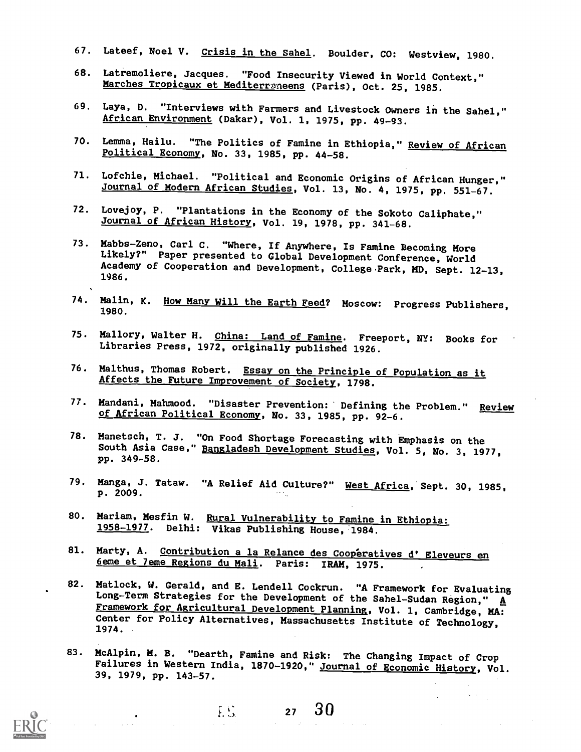- 67. Lateef, Noel V. Crisis in the Sahel. Boulder, CO: Westview, 1980.
- 68. Latremoliere, Jacques. "Food Insecurity Viewed in World Context," Marches Tropicaux et Mediterraneens (Paris), Oct. 25, 1985.
- 69. Laya, D. "Interviews with Farmers and Livestock Owners in the Sahel," African Environment (Dakar), Vol. 1, 1975, pp. 49-93.
- 70. Lemma, Hailu. "The Politics of Famine in Ethiopia," Review of African Political Economy, No. 33, 1985, pp. 44-58.
- 71. Lofchie, Michael. "Political and Economic Origins of African Hunger," Journal of Modern African Studies, Vol. 13, No. 4, 1975, pp. 551-67.
- 72. Lovejoy, P. "Plantations in the Economy of the Sokoto Caliphate," Journal of African History, Vol. 19, 1978, pp. 341-68.
- 73. Mabbs-Zeno, Carl C. "Where, If Anywhere, Is Famine Becoming More Likely?" Paper presented to Global Development Conference, World Academy of Cooperation and Development, College.Park, MD, Sept. 12-13, 1986.
- 74. Malin, K. How Many Will the Earth Feed? Moscow: Progress Publishers, 1980.
- 75. Mallory, Walter H. China: Land of Famine. Freeport, NY: Books for Libraries Press, 1972, originally published 1926.
- 76. Malthus, Thomas Robert. Essay on the Principle of Population as it Affects the Future Improvement of Society, 1798.
- 77. Mandani, Mahmood. "Disaster Prevention: Defining the Problem." Review of African Political Economy, No. 33, 1985, pp. 92-6.
- 78. Manetsch, T. J. "On Food Shortage Forecasting with Emphasis on the South Asia Case," Bangladesh Development Studies, Vol. 5, No. 3, 1977, pp. 349-58.
- 79. Manga, J. Tataw. "A Relief Aid Culture?" West Africa, Sept. 30, 1985, p. 2009.
- 80. Mariam, Mesfin W. Rural Vulnerability to Famine in Ethiopia: 1958-1977. Delhi: Vikas Publishing House, 1984.
- 81. Marty, A. Contribution a la Relance des Cooperatives d' Eleveurs en 6eme et leme Regions du Mali. Paris: IRAM, 1975.
- 82. Matlock, W. Gerald, and E. Lendell Cockrun. "A Framework for Evaluating Long-Term Strategies for the Development of the Sahel-Sudan Region,"  $\overline{A}$ Framework for Agricultural Development Planning, Vol. 1, Cambridge, MA: Center for Policy Alternatives, Massachusetts Institute of Technology, 1974.
- 83. McAlpin, M. B. "Dearth, Famine and Risk: The Changing Impact of Crop Failures in Western India, 1870-1920," Journal of Economic History, Vol. 39, 1979, pp. 143-57.

 $E_{\rm{max}}$ 

 $27 \quad 30$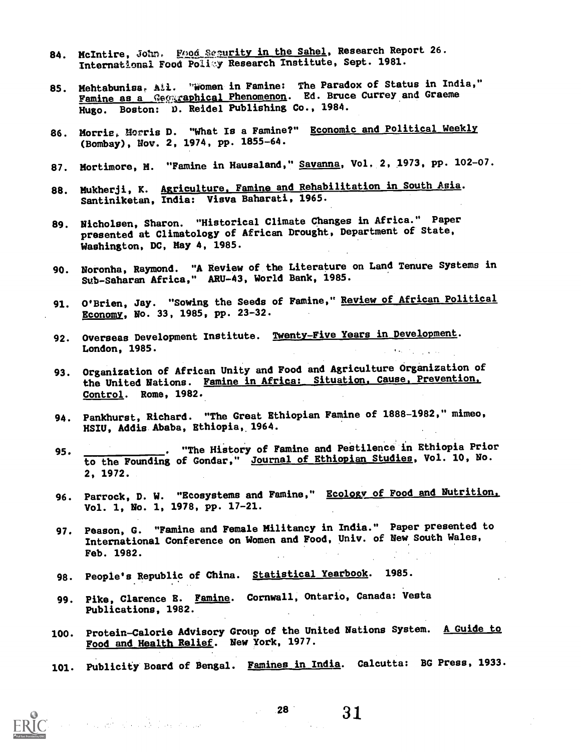- 84. McIntire, John. Food Sesurity in the Sahel, Research Report 26. International Food Poliy Research Institute, Sept. 1981.
- 85. Mehtabunisa, Ali. 'Women in Famine: The Paradox of Status in India," Famine as a Geographical Phenomenon. Ed. Bruce Currey and Graeme Hugo. Boston: D. Reidel Publishing Co., 1984.
- 86. Morrie, Morris D. "What Is a Famine?" Economic and Political Weekly (Bombay), Nov. 2, 1974, pp. 1855-64.
- 87. Mortimore, M. "Famine in Hausaland," <u>Savanna</u>, Vol. 2, 1973, pp. 102-07.
- 88. Mukherji, K. A<u>griculture, Famine and Rehabilitation in South Asia</u>. Santiniketan, India: Visva Baharati, 1965.
- 89. Nicholsen, Sharon. "Historical Climate Changes in Africa." Paper presented at Climatology of African Drought, Department of State, Washington, DC, May 4, 1985.
- 90. Noronha, Raymond. "A Review of the Literature on Land Tenure Systems in Sub-Saharan Africa," ARU-43, World Bank, 1985.
- 91. O'Brien, Jay. "Sowing the Seeds of Famine," Review of African Political Economy, No. 33, 1985, pp. 23-32.
- 92. Overseas Development Institute. Twenty-Five Years in Development. London, 1985.
- 93. Organization of African Unity and Food and Agriculture Organization of the United Nations. Famine in Africa: Situation, Cause, Prevention, Control. Rome, 1982.
- 94. Pankhurst, Richard. "The Great Ethiopian Famine of 1888-1982," mimeo, HSIU, Addis Ababa, Ethiopia, 1964.
- 95. \_\_\_\_\_\_\_\_\_\_\_. "The History of Famine and Pestilence in Ethiopia Prior to the Founding of Gondar," Journal of Ethiopian Studies, Vol. 10, Mo. 2, 1972.
- 96. Parrock, D. W. "Ecosystems and Famine," Ecology of Food and Nutrition. Vol. 1, No. 1, 1978, pp. 17-21.
- 97. Peason, G. "Famine and Female Militancy in India." Paper presented to International Conference on Women and Food, Univ. of New South Wales, Feb. 1982.
- 98. People's Republic of China. Statistical Yearbook. 1985.
- 99. Pike, Clarence E. Famine. Cornwall, Ontario, Canada: Vesta Publications, 1982.
- 100. Protein-Calorie Advisory Group of the United Nations System. A Guide to Food and Health Relief. New York, 1977.
- 101. Publicity Board of Bengal. Famines in India. Calcutta: BG Press, 1933.

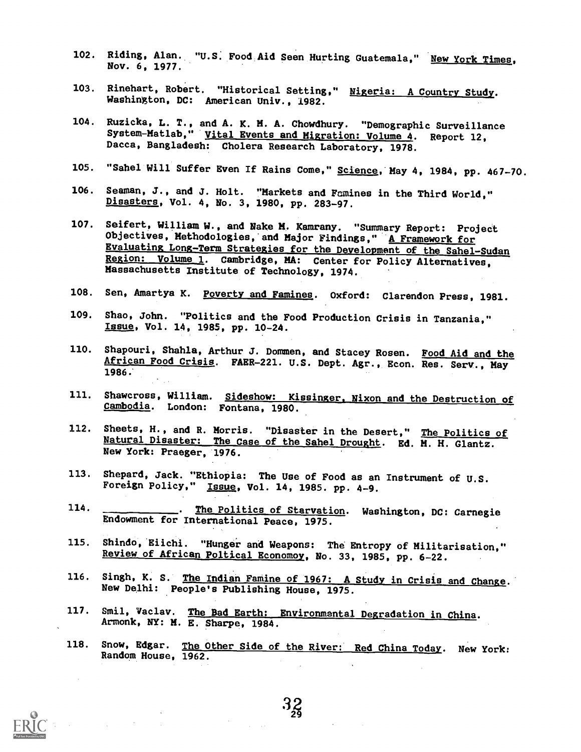- 102. Riding, Alan. "U.S. Food Aid Seen Hurting Guatemala," New York Times, Nov. 6, 1977.
- 103. Rinehart, Robert. "Historical Setting," Nigeria: A Country Study. Washington, DC: American Univ., 1982.
- 104. Ruzicka, L. T., and A. K. H. A. Chowdhury. "Demographic Surveillance System-Matlab," Vital Events and Migration: Volume 4. Report 12, Dacca, Bangladesh: Cholera Research Laboratory, 1978.
- 105. "Sahel Will Suffer Even If Rains Come," Science, May 4, 1984, pp. 467-70.
- 106. Seaman, J., and J. Holt. "Markets and Famines in the Third World," Disasters, Vol. 4, No. 3, 1980, pp. 283-97.
- 107. Seifert, William W., and Nake H. Kamrany. "Summary Report: Project Objectives, Methodologies, and Major Findings," A Framework for Evaluating Long-Term Strategies for the Development of the Sahel-Sudan Region: Volume 1. Cambridge, MA: Center for Policy Alternatives, Massachusetts Institute of Technology, 1974.
- 108. Sen, Amartya K. Poverty and Famines. Oxford: Clarendon Press, 1981.
- 109. Shao, John. "Politics and the Food Production Crisis in Tanzania," Issue, Vol. 14, 1985, pp. 10-24.
- 110. Shapouri, Shahla, Arthur J. Dommen, and Stacey Rosen. Food Aid and the African Food Crisis. FAER-221. U.S. Dept. Agr., Econ. Res. Serv., May 1986.
- 111. Shawcross, William. Sideshow: Kissinger, Nixon and the Destruction of Cambodia. London: Fontana, 1980.
- 112. Sheets, H., and R. Morris. "Disaster in the Desert," The Politics of Natural Disaster: The Case of the Sahel Drought. Ed. M. H. Glantz. New York: Praeger, 1976.
- 113. Shepard, Jack. "Ethiopia: The Use of Food as an Instrmment of U.S. Foreign Policy," Issue, Vol. 14, 1985. pp. 4-9.
- 114. \_\_\_\_\_\_\_\_\_\_. The Politics of Starvation. Washington, DC: Carnegie Endowment for International Peace, 1975.
- 115. Shindo, Eiichi. "Hunger and Weapons: The Entropy of Militarisation," Review of African Poltical Economoy, No. 33, 1985, pp. 6-22.
- 116. Singh, K. S. The Indian Famine of 1967: A Study in Crisis and Change. New Delhi: People's Publishing House, 1975.
- 117. Smil, Vaclav. The Bad Earth: Environmental Degradation in china. Armonk, NY: M. E. Sharpe, 1984.
- 118. Snow, Edgar. The Other Side of the River: Red China Today. New York: Random House, 1962.

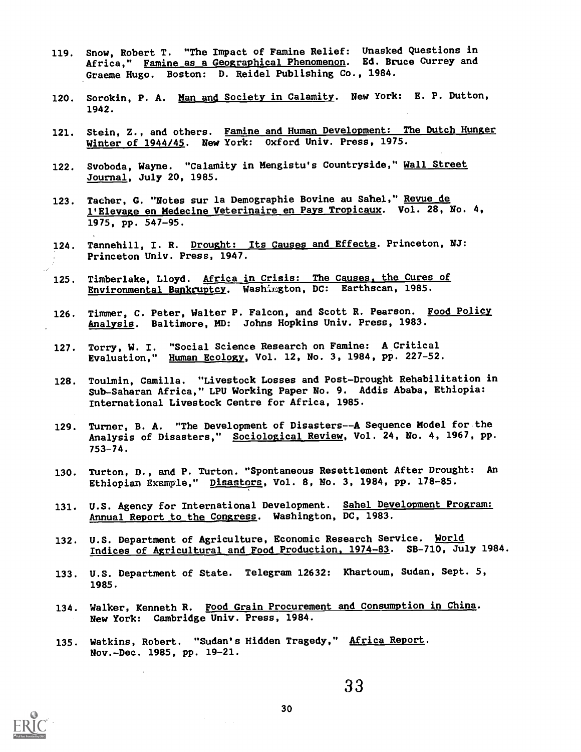- 119. Snow, Robert T. "The Impact of Famine Relief: Unasked Questions in Africa," Famine as a Geographical Phenomenon. Ed. Bruce Currey and Graeme Hugo. Boston: D. Reidel Publishing Co., 1984.
- 120. Sorokin, P. A. Man and Society in Calamity. New York: E. P. Dutton, 1942.
- 121. Stein, Z., and others. Famine and Human Development: The Dutch Hunger Winter of 1944/45. New York: Oxford Univ. Press, 1975.
- 122. Svoboda, Wayne. "Calamity in Mengistu's Countryside," Wall Street Journal, July 20, 1985.
- 123. Tacher, G. "Notes sur la Demographie Bovine au Sahel," Revue de l'Elevage en Medecine Veterinaire en Pays Tropicaux. Vol. 28, Mo. 4, 1975, pp. 547-95.
- 124. Tannehill, I. R. Drought: Its Causes and Effects. Princeton, NJ: Princeton Univ. Press, 1947.
- 125. Timberlake, Lloyd. Africa in Crisis: The Causes, the Cures of Environmental Bankruptcy. Washimgton, DC: Earthscan, 1985.
- 126. Timmer, C. Peter, Walter P. Falcon, and Scott R. Pearson. Food Policy Analysis. Baltimore, MD: Johns Hopkins Univ. Press, 1983.
- 127. Torry, W. I. "Social Science Research on Famine: A Critical Evaluation," Human Ecology, Vol. 12, No. 3, 1984, pp. 227-52.
- 128. Toulmin, Camilla. "Livestock Losses and Post-Drought Rehabilitation in Sub-Saharan Africa," LPU Working Paper No. 9. Addis Ababa, Ethiopia: International Livestock Centre for Africa, 1985.
- 129. Turner, B. A. "The Development of Disasters--A Sequence Model for the Analysis of Disasters," Sociological Review, Vol. 24, No. 4, 1967, pp. 753-74.
- 130. Turton, D., and P. Turton. "Spontaneous Resettlement After Drought: An Ethiopian Example," Disastors, Vol. 8, No. 3, 1984, pp. 178-85.
- 131. U.S. Agency for International Development. Sahel Development Program: Annual Report to the Congress. Washington, DC, 1983.
- 132. U.S. Department of Agriculture, Economic Research Service. World Indices of Agricultural and Food Production, 1974-83. SB-710, July 1984.
- 133. U.S. Department of State. Telegram 12632: Khartoum, Sudan, Sept. 5, 1985.
- 134. Walker, Kenneth R. Food Grain Procurement and Consumption in China. New York: Cambridge Univ. Press, 1984.
- 135. Watkins, Robert. "Sudan's Hidden Tragedy," Africa Report. Nov.-Dec. 1985, pp. 19-21.